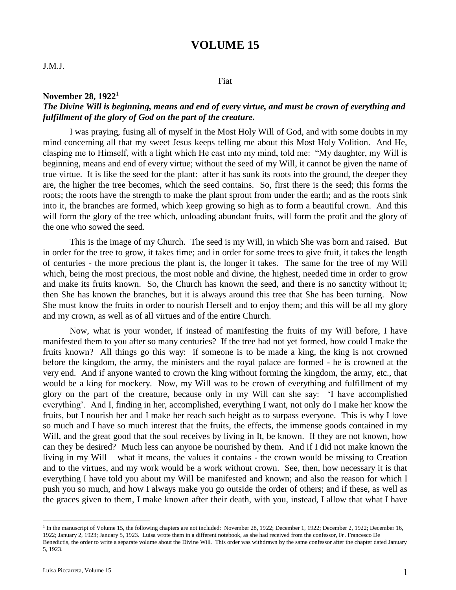## **VOLUME 15**

### Fiat

#### **November 28, 1922**<sup>1</sup>

## *The Divine Will is beginning, means and end of every virtue, and must be crown of everything and fulfillment of the glory of God on the part of the creature.*

I was praying, fusing all of myself in the Most Holy Will of God, and with some doubts in my mind concerning all that my sweet Jesus keeps telling me about this Most Holy Volition. And He, clasping me to Himself, with a light which He cast into my mind, told me: "My daughter, my Will is beginning, means and end of every virtue; without the seed of my Will, it cannot be given the name of true virtue. It is like the seed for the plant: after it has sunk its roots into the ground, the deeper they are, the higher the tree becomes, which the seed contains. So, first there is the seed; this forms the roots; the roots have the strength to make the plant sprout from under the earth; and as the roots sink into it, the branches are formed, which keep growing so high as to form a beautiful crown. And this will form the glory of the tree which, unloading abundant fruits, will form the profit and the glory of the one who sowed the seed.

This is the image of my Church. The seed is my Will, in which She was born and raised. But in order for the tree to grow, it takes time; and in order for some trees to give fruit, it takes the length of centuries - the more precious the plant is, the longer it takes. The same for the tree of my Will which, being the most precious, the most noble and divine, the highest, needed time in order to grow and make its fruits known. So, the Church has known the seed, and there is no sanctity without it; then She has known the branches, but it is always around this tree that She has been turning. Now She must know the fruits in order to nourish Herself and to enjoy them; and this will be all my glory and my crown, as well as of all virtues and of the entire Church.

Now, what is your wonder, if instead of manifesting the fruits of my Will before, I have manifested them to you after so many centuries? If the tree had not yet formed, how could I make the fruits known? All things go this way: if someone is to be made a king, the king is not crowned before the kingdom, the army, the ministers and the royal palace are formed - he is crowned at the very end. And if anyone wanted to crown the king without forming the kingdom, the army, etc., that would be a king for mockery. Now, my Will was to be crown of everything and fulfillment of my glory on the part of the creature, because only in my Will can she say: 'I have accomplished everything'. And I, finding in her, accomplished, everything I want, not only do I make her know the fruits, but I nourish her and I make her reach such height as to surpass everyone. This is why I love so much and I have so much interest that the fruits, the effects, the immense goods contained in my Will, and the great good that the soul receives by living in It, be known. If they are not known, how can they be desired? Much less can anyone be nourished by them. And if I did not make known the living in my Will – what it means, the values it contains - the crown would be missing to Creation and to the virtues, and my work would be a work without crown. See, then, how necessary it is that everything I have told you about my Will be manifested and known; and also the reason for which I push you so much, and how I always make you go outside the order of others; and if these, as well as the graces given to them, I make known after their death, with you, instead, I allow that what I have

 $\overline{a}$ 

<sup>&</sup>lt;sup>1</sup> In the manuscript of Volume 15, the following chapters are not included: November 28, 1922; December 1, 1922; December 2, 1922; December 16, 1922; January 2, 1923; January 5, 1923. Luisa wrote them in a different notebook, as she had received from the confessor, Fr. Francesco De Benedictis, the order to write a separate volume about the Divine Will. This order was withdrawn by the same confessor after the chapter dated January 5, 1923.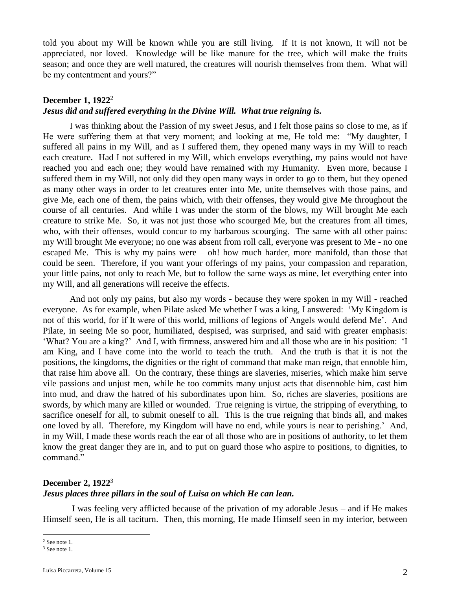told you about my Will be known while you are still living. If It is not known, It will not be appreciated, nor loved. Knowledge will be like manure for the tree, which will make the fruits season; and once they are well matured, the creatures will nourish themselves from them. What will be my contentment and yours?"

## **December 1, 1922<sup>2</sup>**

## *Jesus did and suffered everything in the Divine Will. What true reigning is.*

I was thinking about the Passion of my sweet Jesus, and I felt those pains so close to me, as if He were suffering them at that very moment; and looking at me, He told me: "My daughter, I suffered all pains in my Will, and as I suffered them, they opened many ways in my Will to reach each creature. Had I not suffered in my Will, which envelops everything, my pains would not have reached you and each one; they would have remained with my Humanity. Even more, because I suffered them in my Will, not only did they open many ways in order to go to them, but they opened as many other ways in order to let creatures enter into Me, unite themselves with those pains, and give Me, each one of them, the pains which, with their offenses, they would give Me throughout the course of all centuries. And while I was under the storm of the blows, my Will brought Me each creature to strike Me. So, it was not just those who scourged Me, but the creatures from all times, who, with their offenses, would concur to my barbarous scourging. The same with all other pains: my Will brought Me everyone; no one was absent from roll call, everyone was present to Me - no one escaped Me. This is why my pains were – oh! how much harder, more manifold, than those that could be seen. Therefore, if you want your offerings of my pains, your compassion and reparation, your little pains, not only to reach Me, but to follow the same ways as mine, let everything enter into my Will, and all generations will receive the effects.

And not only my pains, but also my words - because they were spoken in my Will - reached everyone. As for example, when Pilate asked Me whether I was a king, I answered: 'My Kingdom is not of this world, for if It were of this world, millions of legions of Angels would defend Me'. And Pilate, in seeing Me so poor, humiliated, despised, was surprised, and said with greater emphasis: 'What? You are a king?' And I, with firmness, answered him and all those who are in his position: 'I am King, and I have come into the world to teach the truth. And the truth is that it is not the positions, the kingdoms, the dignities or the right of command that make man reign, that ennoble him, that raise him above all. On the contrary, these things are slaveries, miseries, which make him serve vile passions and unjust men, while he too commits many unjust acts that disennoble him, cast him into mud, and draw the hatred of his subordinates upon him. So, riches are slaveries, positions are swords, by which many are killed or wounded. True reigning is virtue, the stripping of everything, to sacrifice oneself for all, to submit oneself to all. This is the true reigning that binds all, and makes one loved by all. Therefore, my Kingdom will have no end, while yours is near to perishing.' And, in my Will, I made these words reach the ear of all those who are in positions of authority, to let them know the great danger they are in, and to put on guard those who aspire to positions, to dignities, to command."

### **December 2, 1922**<sup>3</sup>

### *Jesus places three pillars in the soul of Luisa on which He can lean.*

I was feeling very afflicted because of the privation of my adorable Jesus – and if He makes Himself seen, He is all taciturn. Then, this morning, He made Himself seen in my interior, between

 $\overline{a}$ 

<sup>2</sup> See note 1.

<sup>3</sup> See note 1.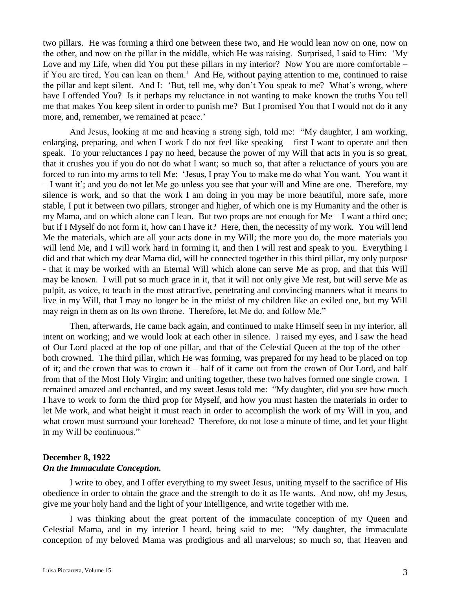two pillars. He was forming a third one between these two, and He would lean now on one, now on the other, and now on the pillar in the middle, which He was raising. Surprised, I said to Him: 'My Love and my Life, when did You put these pillars in my interior? Now You are more comfortable – if You are tired, You can lean on them.' And He, without paying attention to me, continued to raise the pillar and kept silent. And I: 'But, tell me, why don't You speak to me? What's wrong, where have I offended You? Is it perhaps my reluctance in not wanting to make known the truths You tell me that makes You keep silent in order to punish me? But I promised You that I would not do it any more, and, remember, we remained at peace.'

And Jesus, looking at me and heaving a strong sigh, told me: "My daughter, I am working, enlarging, preparing, and when I work I do not feel like speaking – first I want to operate and then speak. To your reluctances I pay no heed, because the power of my Will that acts in you is so great, that it crushes you if you do not do what I want; so much so, that after a reluctance of yours you are forced to run into my arms to tell Me: 'Jesus, I pray You to make me do what You want. You want it – I want it'; and you do not let Me go unless you see that your will and Mine are one. Therefore, my silence is work, and so that the work I am doing in you may be more beautiful, more safe, more stable, I put it between two pillars, stronger and higher, of which one is my Humanity and the other is my Mama, and on which alone can I lean. But two props are not enough for Me – I want a third one; but if I Myself do not form it, how can I have it? Here, then, the necessity of my work. You will lend Me the materials, which are all your acts done in my Will; the more you do, the more materials you will lend Me, and I will work hard in forming it, and then I will rest and speak to you. Everything I did and that which my dear Mama did, will be connected together in this third pillar, my only purpose - that it may be worked with an Eternal Will which alone can serve Me as prop, and that this Will may be known. I will put so much grace in it, that it will not only give Me rest, but will serve Me as pulpit, as voice, to teach in the most attractive, penetrating and convincing manners what it means to live in my Will, that I may no longer be in the midst of my children like an exiled one, but my Will may reign in them as on Its own throne. Therefore, let Me do, and follow Me."

Then, afterwards, He came back again, and continued to make Himself seen in my interior, all intent on working; and we would look at each other in silence. I raised my eyes, and I saw the head of Our Lord placed at the top of one pillar, and that of the Celestial Queen at the top of the other – both crowned. The third pillar, which He was forming, was prepared for my head to be placed on top of it; and the crown that was to crown it – half of it came out from the crown of Our Lord, and half from that of the Most Holy Virgin; and uniting together, these two halves formed one single crown. I remained amazed and enchanted, and my sweet Jesus told me: "My daughter, did you see how much I have to work to form the third prop for Myself, and how you must hasten the materials in order to let Me work, and what height it must reach in order to accomplish the work of my Will in you, and what crown must surround your forehead? Therefore, do not lose a minute of time, and let your flight in my Will be continuous."

# **December 8, 1922**

*On the Immaculate Conception.* 

I write to obey, and I offer everything to my sweet Jesus, uniting myself to the sacrifice of His obedience in order to obtain the grace and the strength to do it as He wants. And now, oh! my Jesus, give me your holy hand and the light of your Intelligence, and write together with me.

I was thinking about the great portent of the immaculate conception of my Queen and Celestial Mama, and in my interior I heard, being said to me: "My daughter, the immaculate conception of my beloved Mama was prodigious and all marvelous; so much so, that Heaven and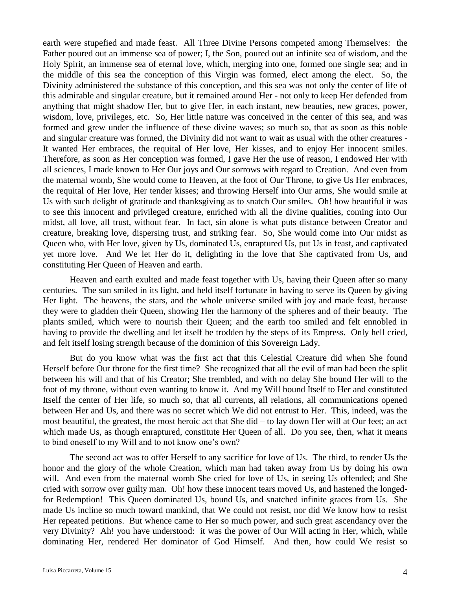earth were stupefied and made feast. All Three Divine Persons competed among Themselves: the Father poured out an immense sea of power; I, the Son, poured out an infinite sea of wisdom, and the Holy Spirit, an immense sea of eternal love, which, merging into one, formed one single sea; and in the middle of this sea the conception of this Virgin was formed, elect among the elect. So, the Divinity administered the substance of this conception, and this sea was not only the center of life of this admirable and singular creature, but it remained around Her - not only to keep Her defended from anything that might shadow Her, but to give Her, in each instant, new beauties, new graces, power, wisdom, love, privileges, etc. So, Her little nature was conceived in the center of this sea, and was formed and grew under the influence of these divine waves; so much so, that as soon as this noble and singular creature was formed, the Divinity did not want to wait as usual with the other creatures - It wanted Her embraces, the requital of Her love, Her kisses, and to enjoy Her innocent smiles. Therefore, as soon as Her conception was formed, I gave Her the use of reason, I endowed Her with all sciences, I made known to Her Our joys and Our sorrows with regard to Creation. And even from the maternal womb, She would come to Heaven, at the foot of Our Throne, to give Us Her embraces, the requital of Her love, Her tender kisses; and throwing Herself into Our arms, She would smile at Us with such delight of gratitude and thanksgiving as to snatch Our smiles. Oh! how beautiful it was to see this innocent and privileged creature, enriched with all the divine qualities, coming into Our midst, all love, all trust, without fear. In fact, sin alone is what puts distance between Creator and creature, breaking love, dispersing trust, and striking fear. So, She would come into Our midst as Queen who, with Her love, given by Us, dominated Us, enraptured Us, put Us in feast, and captivated yet more love. And We let Her do it, delighting in the love that She captivated from Us, and constituting Her Queen of Heaven and earth.

Heaven and earth exulted and made feast together with Us, having their Queen after so many centuries. The sun smiled in its light, and held itself fortunate in having to serve its Queen by giving Her light. The heavens, the stars, and the whole universe smiled with joy and made feast, because they were to gladden their Queen, showing Her the harmony of the spheres and of their beauty. The plants smiled, which were to nourish their Queen; and the earth too smiled and felt ennobled in having to provide the dwelling and let itself be trodden by the steps of its Empress. Only hell cried, and felt itself losing strength because of the dominion of this Sovereign Lady.

But do you know what was the first act that this Celestial Creature did when She found Herself before Our throne for the first time? She recognized that all the evil of man had been the split between his will and that of his Creator; She trembled, and with no delay She bound Her will to the foot of my throne, without even wanting to know it. And my Will bound Itself to Her and constituted Itself the center of Her life, so much so, that all currents, all relations, all communications opened between Her and Us, and there was no secret which We did not entrust to Her. This, indeed, was the most beautiful, the greatest, the most heroic act that She did – to lay down Her will at Our feet; an act which made Us, as though enraptured, constitute Her Queen of all. Do you see, then, what it means to bind oneself to my Will and to not know one's own?

The second act was to offer Herself to any sacrifice for love of Us. The third, to render Us the honor and the glory of the whole Creation, which man had taken away from Us by doing his own will. And even from the maternal womb She cried for love of Us, in seeing Us offended; and She cried with sorrow over guilty man. Oh! how these innocent tears moved Us, and hastened the longedfor Redemption! This Queen dominated Us, bound Us, and snatched infinite graces from Us. She made Us incline so much toward mankind, that We could not resist, nor did We know how to resist Her repeated petitions. But whence came to Her so much power, and such great ascendancy over the very Divinity? Ah! you have understood: it was the power of Our Will acting in Her, which, while dominating Her, rendered Her dominator of God Himself. And then, how could We resist so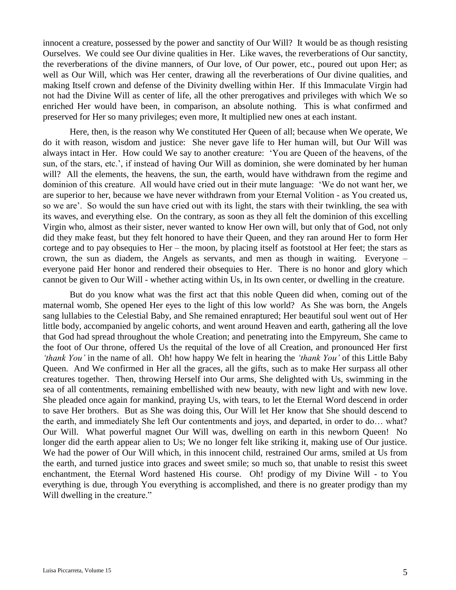innocent a creature, possessed by the power and sanctity of Our Will? It would be as though resisting Ourselves. We could see Our divine qualities in Her. Like waves, the reverberations of Our sanctity, the reverberations of the divine manners, of Our love, of Our power, etc., poured out upon Her; as well as Our Will, which was Her center, drawing all the reverberations of Our divine qualities, and making Itself crown and defense of the Divinity dwelling within Her. If this Immaculate Virgin had not had the Divine Will as center of life, all the other prerogatives and privileges with which We so enriched Her would have been, in comparison, an absolute nothing. This is what confirmed and preserved for Her so many privileges; even more, It multiplied new ones at each instant.

Here, then, is the reason why We constituted Her Queen of all; because when We operate, We do it with reason, wisdom and justice: She never gave life to Her human will, but Our Will was always intact in Her. How could We say to another creature: 'You are Queen of the heavens, of the sun, of the stars, etc.', if instead of having Our Will as dominion, she were dominated by her human will? All the elements, the heavens, the sun, the earth, would have withdrawn from the regime and dominion of this creature. All would have cried out in their mute language: 'We do not want her, we are superior to her, because we have never withdrawn from your Eternal Volition - as You created us, so we are'. So would the sun have cried out with its light, the stars with their twinkling, the sea with its waves, and everything else. On the contrary, as soon as they all felt the dominion of this excelling Virgin who, almost as their sister, never wanted to know Her own will, but only that of God, not only did they make feast, but they felt honored to have their Queen, and they ran around Her to form Her cortege and to pay obsequies to Her – the moon, by placing itself as footstool at Her feet; the stars as crown, the sun as diadem, the Angels as servants, and men as though in waiting. Everyone – everyone paid Her honor and rendered their obsequies to Her. There is no honor and glory which cannot be given to Our Will - whether acting within Us, in Its own center, or dwelling in the creature.

But do you know what was the first act that this noble Queen did when, coming out of the maternal womb, She opened Her eyes to the light of this low world? As She was born, the Angels sang lullabies to the Celestial Baby, and She remained enraptured; Her beautiful soul went out of Her little body, accompanied by angelic cohorts, and went around Heaven and earth, gathering all the love that God had spread throughout the whole Creation; and penetrating into the Empyreum, She came to the foot of Our throne, offered Us the requital of the love of all Creation, and pronounced Her first *'thank You'* in the name of all. Oh! how happy We felt in hearing the *'thank You'* of this Little Baby Queen. And We confirmed in Her all the graces, all the gifts, such as to make Her surpass all other creatures together. Then, throwing Herself into Our arms, She delighted with Us, swimming in the sea of all contentments, remaining embellished with new beauty, with new light and with new love. She pleaded once again for mankind, praying Us, with tears, to let the Eternal Word descend in order to save Her brothers. But as She was doing this, Our Will let Her know that She should descend to the earth, and immediately She left Our contentments and joys, and departed, in order to do… what? Our Will. What powerful magnet Our Will was, dwelling on earth in this newborn Queen! No longer did the earth appear alien to Us; We no longer felt like striking it, making use of Our justice. We had the power of Our Will which, in this innocent child, restrained Our arms, smiled at Us from the earth, and turned justice into graces and sweet smile; so much so, that unable to resist this sweet enchantment, the Eternal Word hastened His course. Oh! prodigy of my Divine Will - to You everything is due, through You everything is accomplished, and there is no greater prodigy than my Will dwelling in the creature."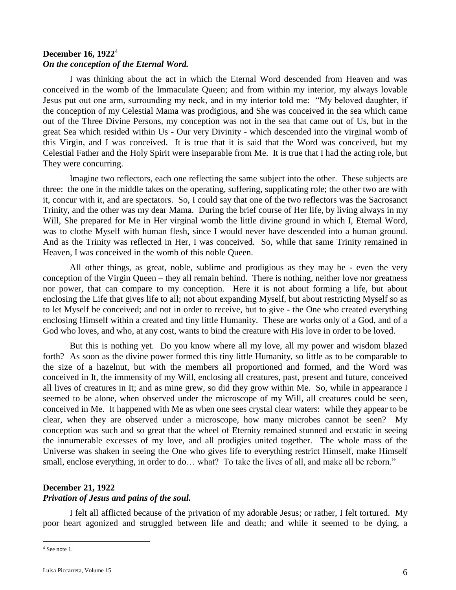## **December 16, 1922**<sup>4</sup> *On the conception of the Eternal Word.*

I was thinking about the act in which the Eternal Word descended from Heaven and was conceived in the womb of the Immaculate Queen; and from within my interior, my always lovable Jesus put out one arm, surrounding my neck, and in my interior told me: "My beloved daughter, if the conception of my Celestial Mama was prodigious, and She was conceived in the sea which came out of the Three Divine Persons, my conception was not in the sea that came out of Us, but in the great Sea which resided within Us - Our very Divinity - which descended into the virginal womb of this Virgin, and I was conceived. It is true that it is said that the Word was conceived, but my Celestial Father and the Holy Spirit were inseparable from Me. It is true that I had the acting role, but They were concurring.

Imagine two reflectors, each one reflecting the same subject into the other. These subjects are three: the one in the middle takes on the operating, suffering, supplicating role; the other two are with it, concur with it, and are spectators. So, I could say that one of the two reflectors was the Sacrosanct Trinity, and the other was my dear Mama. During the brief course of Her life, by living always in my Will, She prepared for Me in Her virginal womb the little divine ground in which I, Eternal Word, was to clothe Myself with human flesh, since I would never have descended into a human ground. And as the Trinity was reflected in Her, I was conceived. So, while that same Trinity remained in Heaven, I was conceived in the womb of this noble Queen.

All other things, as great, noble, sublime and prodigious as they may be - even the very conception of the Virgin Queen – they all remain behind. There is nothing, neither love nor greatness nor power, that can compare to my conception. Here it is not about forming a life, but about enclosing the Life that gives life to all; not about expanding Myself, but about restricting Myself so as to let Myself be conceived; and not in order to receive, but to give - the One who created everything enclosing Himself within a created and tiny little Humanity. These are works only of a God, and of a God who loves, and who, at any cost, wants to bind the creature with His love in order to be loved.

But this is nothing yet. Do you know where all my love, all my power and wisdom blazed forth? As soon as the divine power formed this tiny little Humanity, so little as to be comparable to the size of a hazelnut, but with the members all proportioned and formed, and the Word was conceived in It, the immensity of my Will, enclosing all creatures, past, present and future, conceived all lives of creatures in It; and as mine grew, so did they grow within Me. So, while in appearance I seemed to be alone, when observed under the microscope of my Will, all creatures could be seen, conceived in Me. It happened with Me as when one sees crystal clear waters: while they appear to be clear, when they are observed under a microscope, how many microbes cannot be seen? My conception was such and so great that the wheel of Eternity remained stunned and ecstatic in seeing the innumerable excesses of my love, and all prodigies united together. The whole mass of the Universe was shaken in seeing the One who gives life to everything restrict Himself, make Himself small, enclose everything, in order to do... what? To take the lives of all, and make all be reborn."

### **December 21, 1922**

## *Privation of Jesus and pains of the soul.*

I felt all afflicted because of the privation of my adorable Jesus; or rather, I felt tortured. My poor heart agonized and struggled between life and death; and while it seemed to be dying, a

 $\overline{a}$ <sup>4</sup> See note 1.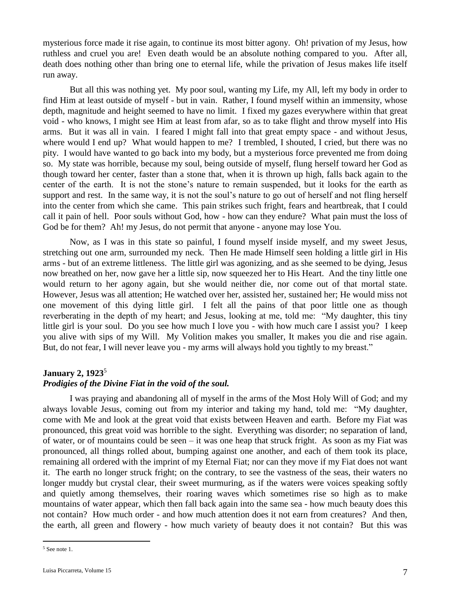mysterious force made it rise again, to continue its most bitter agony. Oh! privation of my Jesus, how ruthless and cruel you are! Even death would be an absolute nothing compared to you. After all, death does nothing other than bring one to eternal life, while the privation of Jesus makes life itself run away.

But all this was nothing yet. My poor soul, wanting my Life, my All, left my body in order to find Him at least outside of myself - but in vain. Rather, I found myself within an immensity, whose depth, magnitude and height seemed to have no limit. I fixed my gazes everywhere within that great void - who knows, I might see Him at least from afar, so as to take flight and throw myself into His arms. But it was all in vain. I feared I might fall into that great empty space - and without Jesus, where would I end up? What would happen to me? I trembled, I shouted, I cried, but there was no pity. I would have wanted to go back into my body, but a mysterious force prevented me from doing so. My state was horrible, because my soul, being outside of myself, flung herself toward her God as though toward her center, faster than a stone that, when it is thrown up high, falls back again to the center of the earth. It is not the stone's nature to remain suspended, but it looks for the earth as support and rest. In the same way, it is not the soul's nature to go out of herself and not fling herself into the center from which she came. This pain strikes such fright, fears and heartbreak, that I could call it pain of hell. Poor souls without God, how - how can they endure? What pain must the loss of God be for them? Ah! my Jesus, do not permit that anyone - anyone may lose You.

Now, as I was in this state so painful, I found myself inside myself, and my sweet Jesus, stretching out one arm, surrounded my neck. Then He made Himself seen holding a little girl in His arms - but of an extreme littleness. The little girl was agonizing, and as she seemed to be dying, Jesus now breathed on her, now gave her a little sip, now squeezed her to His Heart. And the tiny little one would return to her agony again, but she would neither die, nor come out of that mortal state. However, Jesus was all attention; He watched over her, assisted her, sustained her; He would miss not one movement of this dying little girl. I felt all the pains of that poor little one as though reverberating in the depth of my heart; and Jesus, looking at me, told me: "My daughter, this tiny little girl is your soul. Do you see how much I love you - with how much care I assist you? I keep you alive with sips of my Will. My Volition makes you smaller, It makes you die and rise again. But, do not fear, I will never leave you - my arms will always hold you tightly to my breast."

### **January 2, 1923**<sup>5</sup>

### *Prodigies of the Divine Fiat in the void of the soul.*

I was praying and abandoning all of myself in the arms of the Most Holy Will of God; and my always lovable Jesus, coming out from my interior and taking my hand, told me: "My daughter, come with Me and look at the great void that exists between Heaven and earth. Before my Fiat was pronounced, this great void was horrible to the sight. Everything was disorder; no separation of land, of water, or of mountains could be seen – it was one heap that struck fright. As soon as my Fiat was pronounced, all things rolled about, bumping against one another, and each of them took its place, remaining all ordered with the imprint of my Eternal Fiat; nor can they move if my Fiat does not want it. The earth no longer struck fright; on the contrary, to see the vastness of the seas, their waters no longer muddy but crystal clear, their sweet murmuring, as if the waters were voices speaking softly and quietly among themselves, their roaring waves which sometimes rise so high as to make mountains of water appear, which then fall back again into the same sea - how much beauty does this not contain? How much order - and how much attention does it not earn from creatures? And then, the earth, all green and flowery - how much variety of beauty does it not contain? But this was

 $\overline{a}$ 

<sup>5</sup> See note 1.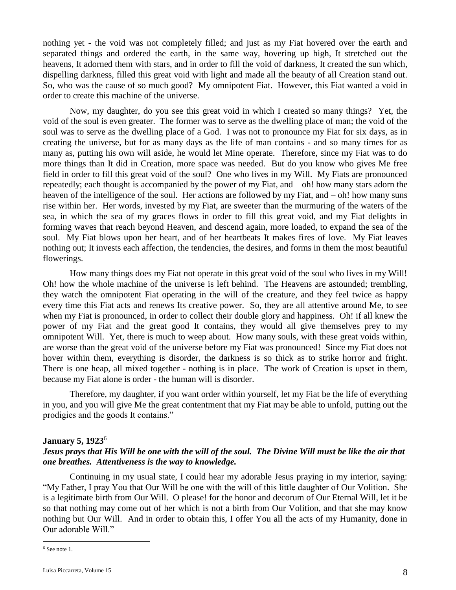nothing yet - the void was not completely filled; and just as my Fiat hovered over the earth and separated things and ordered the earth, in the same way, hovering up high, It stretched out the heavens, It adorned them with stars, and in order to fill the void of darkness, It created the sun which, dispelling darkness, filled this great void with light and made all the beauty of all Creation stand out. So, who was the cause of so much good? My omnipotent Fiat. However, this Fiat wanted a void in order to create this machine of the universe.

Now, my daughter, do you see this great void in which I created so many things? Yet, the void of the soul is even greater. The former was to serve as the dwelling place of man; the void of the soul was to serve as the dwelling place of a God. I was not to pronounce my Fiat for six days, as in creating the universe, but for as many days as the life of man contains - and so many times for as many as, putting his own will aside, he would let Mine operate. Therefore, since my Fiat was to do more things than It did in Creation, more space was needed. But do you know who gives Me free field in order to fill this great void of the soul? One who lives in my Will. My Fiats are pronounced repeatedly; each thought is accompanied by the power of my Fiat, and – oh! how many stars adorn the heaven of the intelligence of the soul. Her actions are followed by my Fiat, and – oh! how many suns rise within her. Her words, invested by my Fiat, are sweeter than the murmuring of the waters of the sea, in which the sea of my graces flows in order to fill this great void, and my Fiat delights in forming waves that reach beyond Heaven, and descend again, more loaded, to expand the sea of the soul. My Fiat blows upon her heart, and of her heartbeats It makes fires of love. My Fiat leaves nothing out; It invests each affection, the tendencies, the desires, and forms in them the most beautiful flowerings.

How many things does my Fiat not operate in this great void of the soul who lives in my Will! Oh! how the whole machine of the universe is left behind. The Heavens are astounded; trembling, they watch the omnipotent Fiat operating in the will of the creature, and they feel twice as happy every time this Fiat acts and renews Its creative power. So, they are all attentive around Me, to see when my Fiat is pronounced, in order to collect their double glory and happiness. Oh! if all knew the power of my Fiat and the great good It contains, they would all give themselves prey to my omnipotent Will. Yet, there is much to weep about. How many souls, with these great voids within, are worse than the great void of the universe before my Fiat was pronounced! Since my Fiat does not hover within them, everything is disorder, the darkness is so thick as to strike horror and fright. There is one heap, all mixed together - nothing is in place. The work of Creation is upset in them, because my Fiat alone is order - the human will is disorder.

Therefore, my daughter, if you want order within yourself, let my Fiat be the life of everything in you, and you will give Me the great contentment that my Fiat may be able to unfold, putting out the prodigies and the goods It contains."

### **January 5, 1923**<sup>6</sup>

## *Jesus prays that His Will be one with the will of the soul. The Divine Will must be like the air that one breathes. Attentiveness is the way to knowledge.*

Continuing in my usual state, I could hear my adorable Jesus praying in my interior, saying: "My Father, I pray You that Our Will be one with the will of this little daughter of Our Volition. She is a legitimate birth from Our Will. O please! for the honor and decorum of Our Eternal Will, let it be so that nothing may come out of her which is not a birth from Our Volition, and that she may know nothing but Our Will. And in order to obtain this, I offer You all the acts of my Humanity, done in Our adorable Will."

 $\overline{a}$ <sup>6</sup> See note 1.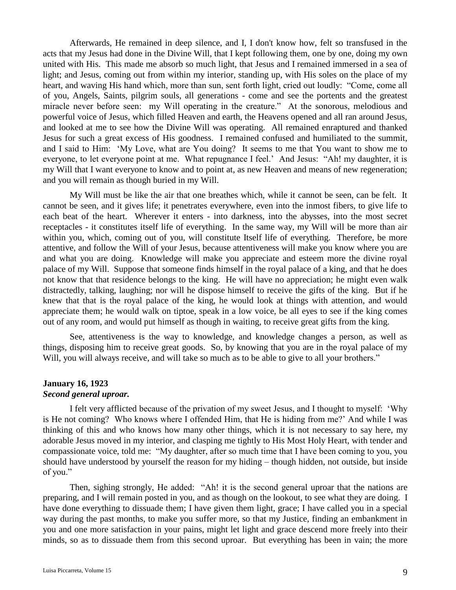Afterwards, He remained in deep silence, and I, I don't know how, felt so transfused in the acts that my Jesus had done in the Divine Will, that I kept following them, one by one, doing my own united with His. This made me absorb so much light, that Jesus and I remained immersed in a sea of light; and Jesus, coming out from within my interior, standing up, with His soles on the place of my heart, and waving His hand which, more than sun, sent forth light, cried out loudly: "Come, come all of you, Angels, Saints, pilgrim souls, all generations - come and see the portents and the greatest miracle never before seen: my Will operating in the creature." At the sonorous, melodious and powerful voice of Jesus, which filled Heaven and earth, the Heavens opened and all ran around Jesus, and looked at me to see how the Divine Will was operating. All remained enraptured and thanked Jesus for such a great excess of His goodness. I remained confused and humiliated to the summit, and I said to Him: 'My Love, what are You doing? It seems to me that You want to show me to everyone, to let everyone point at me. What repugnance I feel.' And Jesus: "Ah! my daughter, it is my Will that I want everyone to know and to point at, as new Heaven and means of new regeneration; and you will remain as though buried in my Will.

My Will must be like the air that one breathes which, while it cannot be seen, can be felt. It cannot be seen, and it gives life; it penetrates everywhere, even into the inmost fibers, to give life to each beat of the heart. Wherever it enters - into darkness, into the abysses, into the most secret receptacles - it constitutes itself life of everything. In the same way, my Will will be more than air within you, which, coming out of you, will constitute Itself life of everything. Therefore, be more attentive, and follow the Will of your Jesus, because attentiveness will make you know where you are and what you are doing. Knowledge will make you appreciate and esteem more the divine royal palace of my Will. Suppose that someone finds himself in the royal palace of a king, and that he does not know that that residence belongs to the king. He will have no appreciation; he might even walk distractedly, talking, laughing; nor will he dispose himself to receive the gifts of the king. But if he knew that that is the royal palace of the king, he would look at things with attention, and would appreciate them; he would walk on tiptoe, speak in a low voice, be all eyes to see if the king comes out of any room, and would put himself as though in waiting, to receive great gifts from the king.

See, attentiveness is the way to knowledge, and knowledge changes a person, as well as things, disposing him to receive great goods. So, by knowing that you are in the royal palace of my Will, you will always receive, and will take so much as to be able to give to all your brothers."

### **January 16, 1923** *Second general uproar.*

I felt very afflicted because of the privation of my sweet Jesus, and I thought to myself: 'Why is He not coming? Who knows where I offended Him, that He is hiding from me?' And while I was thinking of this and who knows how many other things, which it is not necessary to say here, my adorable Jesus moved in my interior, and clasping me tightly to His Most Holy Heart, with tender and compassionate voice, told me: "My daughter, after so much time that I have been coming to you, you should have understood by yourself the reason for my hiding – though hidden, not outside, but inside of you."

Then, sighing strongly, He added: "Ah! it is the second general uproar that the nations are preparing, and I will remain posted in you, and as though on the lookout, to see what they are doing. I have done everything to dissuade them; I have given them light, grace; I have called you in a special way during the past months, to make you suffer more, so that my Justice, finding an embankment in you and one more satisfaction in your pains, might let light and grace descend more freely into their minds, so as to dissuade them from this second uproar. But everything has been in vain; the more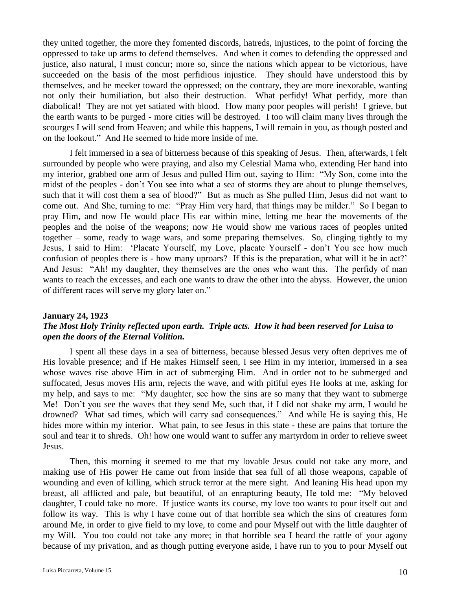they united together, the more they fomented discords, hatreds, injustices, to the point of forcing the oppressed to take up arms to defend themselves. And when it comes to defending the oppressed and justice, also natural, I must concur; more so, since the nations which appear to be victorious, have succeeded on the basis of the most perfidious injustice. They should have understood this by themselves, and be meeker toward the oppressed; on the contrary, they are more inexorable, wanting not only their humiliation, but also their destruction. What perfidy! What perfidy, more than diabolical! They are not yet satiated with blood. How many poor peoples will perish! I grieve, but the earth wants to be purged - more cities will be destroyed. I too will claim many lives through the scourges I will send from Heaven; and while this happens, I will remain in you, as though posted and on the lookout." And He seemed to hide more inside of me.

I felt immersed in a sea of bitterness because of this speaking of Jesus. Then, afterwards, I felt surrounded by people who were praying, and also my Celestial Mama who, extending Her hand into my interior, grabbed one arm of Jesus and pulled Him out, saying to Him: "My Son, come into the midst of the peoples - don't You see into what a sea of storms they are about to plunge themselves, such that it will cost them a sea of blood?" But as much as She pulled Him, Jesus did not want to come out. And She, turning to me: "Pray Him very hard, that things may be milder." So I began to pray Him, and now He would place His ear within mine, letting me hear the movements of the peoples and the noise of the weapons; now He would show me various races of peoples united together – some, ready to wage wars, and some preparing themselves. So, clinging tightly to my Jesus, I said to Him: 'Placate Yourself, my Love, placate Yourself - don't You see how much confusion of peoples there is - how many uproars? If this is the preparation, what will it be in act?' And Jesus: "Ah! my daughter, they themselves are the ones who want this. The perfidy of man wants to reach the excesses, and each one wants to draw the other into the abyss. However, the union of different races will serve my glory later on."

### **January 24, 1923**

## *The Most Holy Trinity reflected upon earth. Triple acts. How it had been reserved for Luisa to open the doors of the Eternal Volition.*

I spent all these days in a sea of bitterness, because blessed Jesus very often deprives me of His lovable presence; and if He makes Himself seen, I see Him in my interior, immersed in a sea whose waves rise above Him in act of submerging Him. And in order not to be submerged and suffocated, Jesus moves His arm, rejects the wave, and with pitiful eyes He looks at me, asking for my help, and says to me: "My daughter, see how the sins are so many that they want to submerge Me! Don't you see the waves that they send Me, such that, if I did not shake my arm, I would be drowned? What sad times, which will carry sad consequences." And while He is saying this, He hides more within my interior. What pain, to see Jesus in this state - these are pains that torture the soul and tear it to shreds. Oh! how one would want to suffer any martyrdom in order to relieve sweet Jesus.

Then, this morning it seemed to me that my lovable Jesus could not take any more, and making use of His power He came out from inside that sea full of all those weapons, capable of wounding and even of killing, which struck terror at the mere sight. And leaning His head upon my breast, all afflicted and pale, but beautiful, of an enrapturing beauty, He told me: "My beloved daughter, I could take no more. If justice wants its course, my love too wants to pour itself out and follow its way. This is why I have come out of that horrible sea which the sins of creatures form around Me, in order to give field to my love, to come and pour Myself out with the little daughter of my Will. You too could not take any more; in that horrible sea I heard the rattle of your agony because of my privation, and as though putting everyone aside, I have run to you to pour Myself out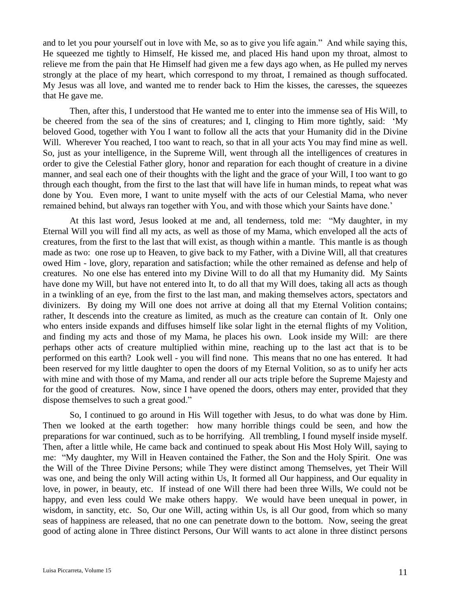and to let you pour yourself out in love with Me, so as to give you life again." And while saying this, He squeezed me tightly to Himself, He kissed me, and placed His hand upon my throat, almost to relieve me from the pain that He Himself had given me a few days ago when, as He pulled my nerves strongly at the place of my heart, which correspond to my throat, I remained as though suffocated. My Jesus was all love, and wanted me to render back to Him the kisses, the caresses, the squeezes that He gave me.

Then, after this, I understood that He wanted me to enter into the immense sea of His Will, to be cheered from the sea of the sins of creatures; and I, clinging to Him more tightly, said: 'My beloved Good, together with You I want to follow all the acts that your Humanity did in the Divine Will. Wherever You reached, I too want to reach, so that in all your acts You may find mine as well. So, just as your intelligence, in the Supreme Will, went through all the intelligences of creatures in order to give the Celestial Father glory, honor and reparation for each thought of creature in a divine manner, and seal each one of their thoughts with the light and the grace of your Will, I too want to go through each thought, from the first to the last that will have life in human minds, to repeat what was done by You. Even more, I want to unite myself with the acts of our Celestial Mama, who never remained behind, but always ran together with You, and with those which your Saints have done.'

At this last word, Jesus looked at me and, all tenderness, told me: "My daughter, in my Eternal Will you will find all my acts, as well as those of my Mama, which enveloped all the acts of creatures, from the first to the last that will exist, as though within a mantle. This mantle is as though made as two: one rose up to Heaven, to give back to my Father, with a Divine Will, all that creatures owed Him - love, glory, reparation and satisfaction; while the other remained as defense and help of creatures. No one else has entered into my Divine Will to do all that my Humanity did. My Saints have done my Will, but have not entered into It, to do all that my Will does, taking all acts as though in a twinkling of an eye, from the first to the last man, and making themselves actors, spectators and divinizers. By doing my Will one does not arrive at doing all that my Eternal Volition contains; rather, It descends into the creature as limited, as much as the creature can contain of It. Only one who enters inside expands and diffuses himself like solar light in the eternal flights of my Volition, and finding my acts and those of my Mama, he places his own. Look inside my Will: are there perhaps other acts of creature multiplied within mine, reaching up to the last act that is to be performed on this earth? Look well - you will find none. This means that no one has entered. It had been reserved for my little daughter to open the doors of my Eternal Volition, so as to unify her acts with mine and with those of my Mama, and render all our acts triple before the Supreme Majesty and for the good of creatures. Now, since I have opened the doors, others may enter, provided that they dispose themselves to such a great good."

So, I continued to go around in His Will together with Jesus, to do what was done by Him. Then we looked at the earth together: how many horrible things could be seen, and how the preparations for war continued, such as to be horrifying. All trembling, I found myself inside myself. Then, after a little while, He came back and continued to speak about His Most Holy Will, saying to me: "My daughter, my Will in Heaven contained the Father, the Son and the Holy Spirit. One was the Will of the Three Divine Persons; while They were distinct among Themselves, yet Their Will was one, and being the only Will acting within Us, It formed all Our happiness, and Our equality in love, in power, in beauty, etc. If instead of one Will there had been three Wills, We could not be happy, and even less could We make others happy. We would have been unequal in power, in wisdom, in sanctity, etc. So, Our one Will, acting within Us, is all Our good, from which so many seas of happiness are released, that no one can penetrate down to the bottom. Now, seeing the great good of acting alone in Three distinct Persons, Our Will wants to act alone in three distinct persons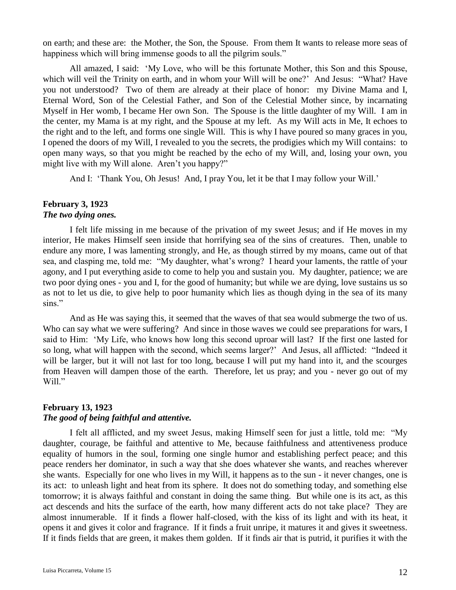on earth; and these are: the Mother, the Son, the Spouse. From them It wants to release more seas of happiness which will bring immense goods to all the pilgrim souls."

All amazed, I said: 'My Love, who will be this fortunate Mother, this Son and this Spouse, which will veil the Trinity on earth, and in whom your Will will be one?' And Jesus: "What? Have you not understood? Two of them are already at their place of honor: my Divine Mama and I, Eternal Word, Son of the Celestial Father, and Son of the Celestial Mother since, by incarnating Myself in Her womb, I became Her own Son. The Spouse is the little daughter of my Will. I am in the center, my Mama is at my right, and the Spouse at my left. As my Will acts in Me, It echoes to the right and to the left, and forms one single Will. This is why I have poured so many graces in you, I opened the doors of my Will, I revealed to you the secrets, the prodigies which my Will contains: to open many ways, so that you might be reached by the echo of my Will, and, losing your own, you might live with my Will alone. Aren't you happy?"

And I: 'Thank You, Oh Jesus! And, I pray You, let it be that I may follow your Will.'

## **February 3, 1923**

## *The two dying ones.*

I felt life missing in me because of the privation of my sweet Jesus; and if He moves in my interior, He makes Himself seen inside that horrifying sea of the sins of creatures. Then, unable to endure any more, I was lamenting strongly, and He, as though stirred by my moans, came out of that sea, and clasping me, told me: "My daughter, what's wrong? I heard your laments, the rattle of your agony, and I put everything aside to come to help you and sustain you. My daughter, patience; we are two poor dying ones - you and I, for the good of humanity; but while we are dying, love sustains us so as not to let us die, to give help to poor humanity which lies as though dying in the sea of its many sins."

And as He was saying this, it seemed that the waves of that sea would submerge the two of us. Who can say what we were suffering? And since in those waves we could see preparations for wars, I said to Him: 'My Life, who knows how long this second uproar will last? If the first one lasted for so long, what will happen with the second, which seems larger?' And Jesus, all afflicted: "Indeed it will be larger, but it will not last for too long, because I will put my hand into it, and the scourges from Heaven will dampen those of the earth. Therefore, let us pray; and you - never go out of my Will."

### **February 13, 1923**

## *The good of being faithful and attentive.*

I felt all afflicted, and my sweet Jesus, making Himself seen for just a little, told me: "My daughter, courage, be faithful and attentive to Me, because faithfulness and attentiveness produce equality of humors in the soul, forming one single humor and establishing perfect peace; and this peace renders her dominator, in such a way that she does whatever she wants, and reaches wherever she wants. Especially for one who lives in my Will, it happens as to the sun - it never changes, one is its act: to unleash light and heat from its sphere. It does not do something today, and something else tomorrow; it is always faithful and constant in doing the same thing. But while one is its act, as this act descends and hits the surface of the earth, how many different acts do not take place? They are almost innumerable. If it finds a flower half-closed, with the kiss of its light and with its heat, it opens it and gives it color and fragrance. If it finds a fruit unripe, it matures it and gives it sweetness. If it finds fields that are green, it makes them golden. If it finds air that is putrid, it purifies it with the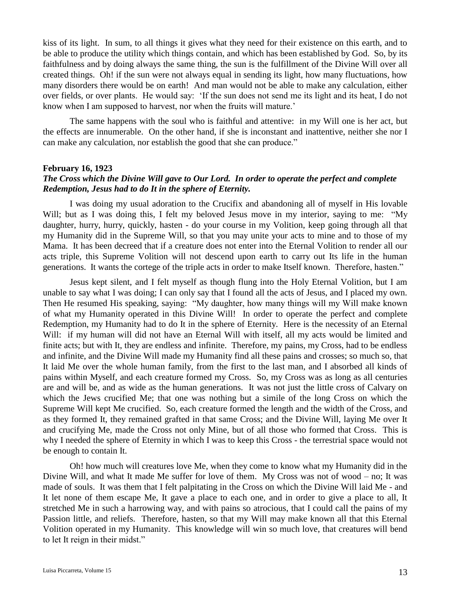kiss of its light. In sum, to all things it gives what they need for their existence on this earth, and to be able to produce the utility which things contain, and which has been established by God. So, by its faithfulness and by doing always the same thing, the sun is the fulfillment of the Divine Will over all created things. Oh! if the sun were not always equal in sending its light, how many fluctuations, how many disorders there would be on earth! And man would not be able to make any calculation, either over fields, or over plants. He would say: 'If the sun does not send me its light and its heat, I do not know when I am supposed to harvest, nor when the fruits will mature.'

The same happens with the soul who is faithful and attentive: in my Will one is her act, but the effects are innumerable. On the other hand, if she is inconstant and inattentive, neither she nor I can make any calculation, nor establish the good that she can produce."

## **February 16, 1923**

## *The Cross which the Divine Will gave to Our Lord. In order to operate the perfect and complete Redemption, Jesus had to do It in the sphere of Eternity.*

I was doing my usual adoration to the Crucifix and abandoning all of myself in His lovable Will; but as I was doing this, I felt my beloved Jesus move in my interior, saying to me: "My daughter, hurry, hurry, quickly, hasten - do your course in my Volition, keep going through all that my Humanity did in the Supreme Will, so that you may unite your acts to mine and to those of my Mama. It has been decreed that if a creature does not enter into the Eternal Volition to render all our acts triple, this Supreme Volition will not descend upon earth to carry out Its life in the human generations. It wants the cortege of the triple acts in order to make Itself known. Therefore, hasten."

Jesus kept silent, and I felt myself as though flung into the Holy Eternal Volition, but I am unable to say what I was doing; I can only say that I found all the acts of Jesus, and I placed my own. Then He resumed His speaking, saying: "My daughter, how many things will my Will make known of what my Humanity operated in this Divine Will! In order to operate the perfect and complete Redemption, my Humanity had to do It in the sphere of Eternity. Here is the necessity of an Eternal Will: if my human will did not have an Eternal Will with itself, all my acts would be limited and finite acts; but with It, they are endless and infinite. Therefore, my pains, my Cross, had to be endless and infinite, and the Divine Will made my Humanity find all these pains and crosses; so much so, that It laid Me over the whole human family, from the first to the last man, and I absorbed all kinds of pains within Myself, and each creature formed my Cross. So, my Cross was as long as all centuries are and will be, and as wide as the human generations. It was not just the little cross of Calvary on which the Jews crucified Me; that one was nothing but a simile of the long Cross on which the Supreme Will kept Me crucified. So, each creature formed the length and the width of the Cross, and as they formed It, they remained grafted in that same Cross; and the Divine Will, laying Me over It and crucifying Me, made the Cross not only Mine, but of all those who formed that Cross. This is why I needed the sphere of Eternity in which I was to keep this Cross - the terrestrial space would not be enough to contain It.

Oh! how much will creatures love Me, when they come to know what my Humanity did in the Divine Will, and what It made Me suffer for love of them. My Cross was not of wood – no; It was made of souls. It was them that I felt palpitating in the Cross on which the Divine Will laid Me - and It let none of them escape Me, It gave a place to each one, and in order to give a place to all, It stretched Me in such a harrowing way, and with pains so atrocious, that I could call the pains of my Passion little, and reliefs. Therefore, hasten, so that my Will may make known all that this Eternal Volition operated in my Humanity. This knowledge will win so much love, that creatures will bend to let It reign in their midst."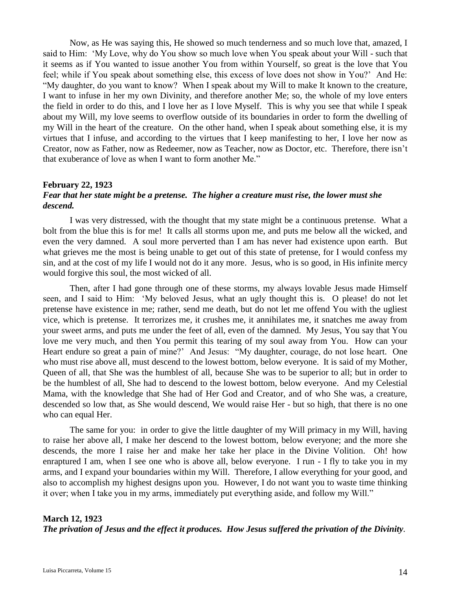Now, as He was saying this, He showed so much tenderness and so much love that, amazed, I said to Him: 'My Love, why do You show so much love when You speak about your Will - such that it seems as if You wanted to issue another You from within Yourself, so great is the love that You feel; while if You speak about something else, this excess of love does not show in You?' And He: "My daughter, do you want to know? When I speak about my Will to make It known to the creature, I want to infuse in her my own Divinity, and therefore another Me; so, the whole of my love enters the field in order to do this, and I love her as I love Myself. This is why you see that while I speak about my Will, my love seems to overflow outside of its boundaries in order to form the dwelling of my Will in the heart of the creature. On the other hand, when I speak about something else, it is my virtues that I infuse, and according to the virtues that I keep manifesting to her, I love her now as Creator, now as Father, now as Redeemer, now as Teacher, now as Doctor, etc. Therefore, there isn't that exuberance of love as when I want to form another Me."

## **February 22, 1923**

## *Fear that her state might be a pretense. The higher a creature must rise, the lower must she descend.*

I was very distressed, with the thought that my state might be a continuous pretense. What a bolt from the blue this is for me! It calls all storms upon me, and puts me below all the wicked, and even the very damned. A soul more perverted than I am has never had existence upon earth. But what grieves me the most is being unable to get out of this state of pretense, for I would confess my sin, and at the cost of my life I would not do it any more. Jesus, who is so good, in His infinite mercy would forgive this soul, the most wicked of all.

Then, after I had gone through one of these storms, my always lovable Jesus made Himself seen, and I said to Him: 'My beloved Jesus, what an ugly thought this is. O please! do not let pretense have existence in me; rather, send me death, but do not let me offend You with the ugliest vice, which is pretense. It terrorizes me, it crushes me, it annihilates me, it snatches me away from your sweet arms, and puts me under the feet of all, even of the damned. My Jesus, You say that You love me very much, and then You permit this tearing of my soul away from You. How can your Heart endure so great a pain of mine?' And Jesus: "My daughter, courage, do not lose heart. One who must rise above all, must descend to the lowest bottom, below everyone. It is said of my Mother, Queen of all, that She was the humblest of all, because She was to be superior to all; but in order to be the humblest of all, She had to descend to the lowest bottom, below everyone. And my Celestial Mama, with the knowledge that She had of Her God and Creator, and of who She was, a creature, descended so low that, as She would descend, We would raise Her - but so high, that there is no one who can equal Her.

The same for you: in order to give the little daughter of my Will primacy in my Will, having to raise her above all, I make her descend to the lowest bottom, below everyone; and the more she descends, the more I raise her and make her take her place in the Divine Volition. Oh! how enraptured I am, when I see one who is above all, below everyone. I run - I fly to take you in my arms, and I expand your boundaries within my Will. Therefore, I allow everything for your good, and also to accomplish my highest designs upon you. However, I do not want you to waste time thinking it over; when I take you in my arms, immediately put everything aside, and follow my Will."

## **March 12, 1923** *The privation of Jesus and the effect it produces. How Jesus suffered the privation of the Divinity.*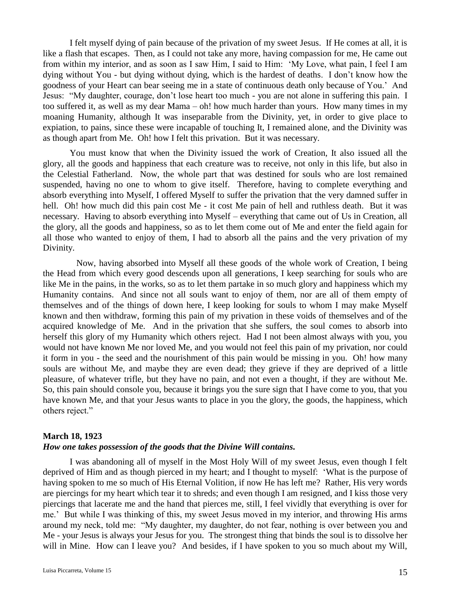I felt myself dying of pain because of the privation of my sweet Jesus. If He comes at all, it is like a flash that escapes. Then, as I could not take any more, having compassion for me, He came out from within my interior, and as soon as I saw Him, I said to Him: 'My Love, what pain, I feel I am dying without You - but dying without dying, which is the hardest of deaths. I don't know how the goodness of your Heart can bear seeing me in a state of continuous death only because of You.' And Jesus: "My daughter, courage, don't lose heart too much - you are not alone in suffering this pain. I too suffered it, as well as my dear Mama – oh! how much harder than yours. How many times in my moaning Humanity, although It was inseparable from the Divinity, yet, in order to give place to expiation, to pains, since these were incapable of touching It, I remained alone, and the Divinity was as though apart from Me. Oh! how I felt this privation. But it was necessary.

You must know that when the Divinity issued the work of Creation, It also issued all the glory, all the goods and happiness that each creature was to receive, not only in this life, but also in the Celestial Fatherland. Now, the whole part that was destined for souls who are lost remained suspended, having no one to whom to give itself. Therefore, having to complete everything and absorb everything into Myself, I offered Myself to suffer the privation that the very damned suffer in hell. Oh! how much did this pain cost Me - it cost Me pain of hell and ruthless death. But it was necessary. Having to absorb everything into Myself – everything that came out of Us in Creation, all the glory, all the goods and happiness, so as to let them come out of Me and enter the field again for all those who wanted to enjoy of them, I had to absorb all the pains and the very privation of my Divinity.

 Now, having absorbed into Myself all these goods of the whole work of Creation, I being the Head from which every good descends upon all generations, I keep searching for souls who are like Me in the pains, in the works, so as to let them partake in so much glory and happiness which my Humanity contains. And since not all souls want to enjoy of them, nor are all of them empty of themselves and of the things of down here, I keep looking for souls to whom I may make Myself known and then withdraw, forming this pain of my privation in these voids of themselves and of the acquired knowledge of Me. And in the privation that she suffers, the soul comes to absorb into herself this glory of my Humanity which others reject. Had I not been almost always with you, you would not have known Me nor loved Me, and you would not feel this pain of my privation, nor could it form in you - the seed and the nourishment of this pain would be missing in you. Oh! how many souls are without Me, and maybe they are even dead; they grieve if they are deprived of a little pleasure, of whatever trifle, but they have no pain, and not even a thought, if they are without Me. So, this pain should console you, because it brings you the sure sign that I have come to you, that you have known Me, and that your Jesus wants to place in you the glory, the goods, the happiness, which others reject."

### **March 18, 1923**

### *How one takes possession of the goods that the Divine Will contains.*

I was abandoning all of myself in the Most Holy Will of my sweet Jesus, even though I felt deprived of Him and as though pierced in my heart; and I thought to myself: 'What is the purpose of having spoken to me so much of His Eternal Volition, if now He has left me? Rather, His very words are piercings for my heart which tear it to shreds; and even though I am resigned, and I kiss those very piercings that lacerate me and the hand that pierces me, still, I feel vividly that everything is over for me.' But while I was thinking of this, my sweet Jesus moved in my interior, and throwing His arms around my neck, told me: "My daughter, my daughter, do not fear, nothing is over between you and Me - your Jesus is always your Jesus for you. The strongest thing that binds the soul is to dissolve her will in Mine. How can I leave you? And besides, if I have spoken to you so much about my Will,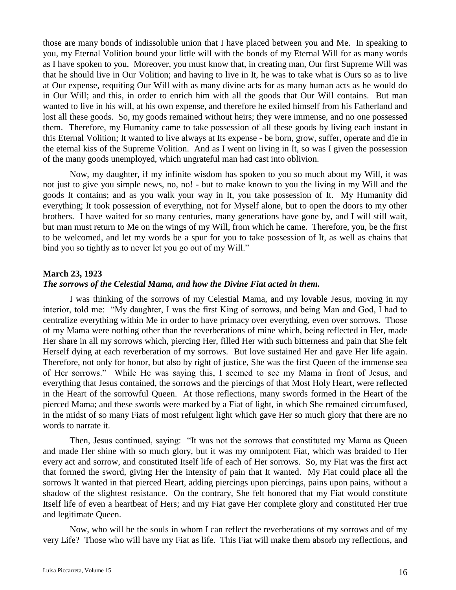those are many bonds of indissoluble union that I have placed between you and Me. In speaking to you, my Eternal Volition bound your little will with the bonds of my Eternal Will for as many words as I have spoken to you. Moreover, you must know that, in creating man, Our first Supreme Will was that he should live in Our Volition; and having to live in It, he was to take what is Ours so as to live at Our expense, requiting Our Will with as many divine acts for as many human acts as he would do in Our Will; and this, in order to enrich him with all the goods that Our Will contains. But man wanted to live in his will, at his own expense, and therefore he exiled himself from his Fatherland and lost all these goods. So, my goods remained without heirs; they were immense, and no one possessed them. Therefore, my Humanity came to take possession of all these goods by living each instant in this Eternal Volition; It wanted to live always at Its expense - be born, grow, suffer, operate and die in the eternal kiss of the Supreme Volition. And as I went on living in It, so was I given the possession of the many goods unemployed, which ungrateful man had cast into oblivion.

Now, my daughter, if my infinite wisdom has spoken to you so much about my Will, it was not just to give you simple news, no, no! - but to make known to you the living in my Will and the goods It contains; and as you walk your way in It, you take possession of It. My Humanity did everything; It took possession of everything, not for Myself alone, but to open the doors to my other brothers. I have waited for so many centuries, many generations have gone by, and I will still wait, but man must return to Me on the wings of my Will, from which he came. Therefore, you, be the first to be welcomed, and let my words be a spur for you to take possession of It, as well as chains that bind you so tightly as to never let you go out of my Will."

### **March 23, 1923**

### *The sorrows of the Celestial Mama, and how the Divine Fiat acted in them.*

I was thinking of the sorrows of my Celestial Mama, and my lovable Jesus, moving in my interior, told me: "My daughter, I was the first King of sorrows, and being Man and God, I had to centralize everything within Me in order to have primacy over everything, even over sorrows. Those of my Mama were nothing other than the reverberations of mine which, being reflected in Her, made Her share in all my sorrows which, piercing Her, filled Her with such bitterness and pain that She felt Herself dying at each reverberation of my sorrows. But love sustained Her and gave Her life again. Therefore, not only for honor, but also by right of justice, She was the first Queen of the immense sea of Her sorrows." While He was saying this, I seemed to see my Mama in front of Jesus, and everything that Jesus contained, the sorrows and the piercings of that Most Holy Heart, were reflected in the Heart of the sorrowful Queen. At those reflections, many swords formed in the Heart of the pierced Mama; and these swords were marked by a Fiat of light, in which She remained circumfused, in the midst of so many Fiats of most refulgent light which gave Her so much glory that there are no words to narrate it.

Then, Jesus continued, saying: "It was not the sorrows that constituted my Mama as Queen and made Her shine with so much glory, but it was my omnipotent Fiat, which was braided to Her every act and sorrow, and constituted Itself life of each of Her sorrows. So, my Fiat was the first act that formed the sword, giving Her the intensity of pain that It wanted. My Fiat could place all the sorrows It wanted in that pierced Heart, adding piercings upon piercings, pains upon pains, without a shadow of the slightest resistance. On the contrary, She felt honored that my Fiat would constitute Itself life of even a heartbeat of Hers; and my Fiat gave Her complete glory and constituted Her true and legitimate Queen.

Now, who will be the souls in whom I can reflect the reverberations of my sorrows and of my very Life? Those who will have my Fiat as life. This Fiat will make them absorb my reflections, and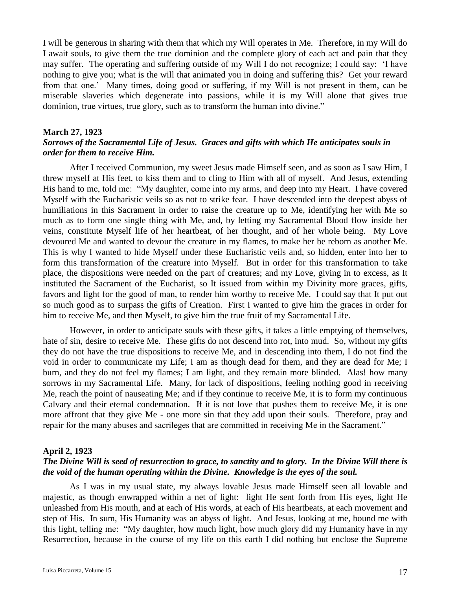I will be generous in sharing with them that which my Will operates in Me. Therefore, in my Will do I await souls, to give them the true dominion and the complete glory of each act and pain that they may suffer. The operating and suffering outside of my Will I do not recognize; I could say: 'I have nothing to give you; what is the will that animated you in doing and suffering this? Get your reward from that one.' Many times, doing good or suffering, if my Will is not present in them, can be miserable slaveries which degenerate into passions, while it is my Will alone that gives true dominion, true virtues, true glory, such as to transform the human into divine."

#### **March 27, 1923**

## *Sorrows of the Sacramental Life of Jesus. Graces and gifts with which He anticipates souls in order for them to receive Him.*

After I received Communion, my sweet Jesus made Himself seen, and as soon as I saw Him, I threw myself at His feet, to kiss them and to cling to Him with all of myself. And Jesus, extending His hand to me, told me: "My daughter, come into my arms, and deep into my Heart. I have covered Myself with the Eucharistic veils so as not to strike fear. I have descended into the deepest abyss of humiliations in this Sacrament in order to raise the creature up to Me, identifying her with Me so much as to form one single thing with Me, and, by letting my Sacramental Blood flow inside her veins, constitute Myself life of her heartbeat, of her thought, and of her whole being. My Love devoured Me and wanted to devour the creature in my flames, to make her be reborn as another Me. This is why I wanted to hide Myself under these Eucharistic veils and, so hidden, enter into her to form this transformation of the creature into Myself. But in order for this transformation to take place, the dispositions were needed on the part of creatures; and my Love, giving in to excess, as It instituted the Sacrament of the Eucharist, so It issued from within my Divinity more graces, gifts, favors and light for the good of man, to render him worthy to receive Me. I could say that It put out so much good as to surpass the gifts of Creation. First I wanted to give him the graces in order for him to receive Me, and then Myself, to give him the true fruit of my Sacramental Life.

However, in order to anticipate souls with these gifts, it takes a little emptying of themselves, hate of sin, desire to receive Me. These gifts do not descend into rot, into mud. So, without my gifts they do not have the true dispositions to receive Me, and in descending into them, I do not find the void in order to communicate my Life; I am as though dead for them, and they are dead for Me; I burn, and they do not feel my flames; I am light, and they remain more blinded. Alas! how many sorrows in my Sacramental Life. Many, for lack of dispositions, feeling nothing good in receiving Me, reach the point of nauseating Me; and if they continue to receive Me, it is to form my continuous Calvary and their eternal condemnation. If it is not love that pushes them to receive Me, it is one more affront that they give Me - one more sin that they add upon their souls. Therefore, pray and repair for the many abuses and sacrileges that are committed in receiving Me in the Sacrament."

#### **April 2, 1923**

## *The Divine Will is seed of resurrection to grace, to sanctity and to glory. In the Divine Will there is the void of the human operating within the Divine. Knowledge is the eyes of the soul.*

As I was in my usual state, my always lovable Jesus made Himself seen all lovable and majestic, as though enwrapped within a net of light: light He sent forth from His eyes, light He unleashed from His mouth, and at each of His words, at each of His heartbeats, at each movement and step of His. In sum, His Humanity was an abyss of light. And Jesus, looking at me, bound me with this light, telling me: "My daughter, how much light, how much glory did my Humanity have in my Resurrection, because in the course of my life on this earth I did nothing but enclose the Supreme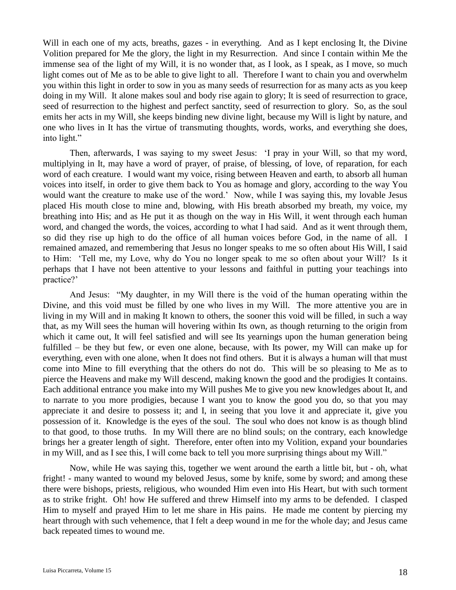Will in each one of my acts, breaths, gazes - in everything. And as I kept enclosing It, the Divine Volition prepared for Me the glory, the light in my Resurrection. And since I contain within Me the immense sea of the light of my Will, it is no wonder that, as I look, as I speak, as I move, so much light comes out of Me as to be able to give light to all. Therefore I want to chain you and overwhelm you within this light in order to sow in you as many seeds of resurrection for as many acts as you keep doing in my Will. It alone makes soul and body rise again to glory; It is seed of resurrection to grace, seed of resurrection to the highest and perfect sanctity, seed of resurrection to glory. So, as the soul emits her acts in my Will, she keeps binding new divine light, because my Will is light by nature, and one who lives in It has the virtue of transmuting thoughts, words, works, and everything she does, into light."

Then, afterwards, I was saying to my sweet Jesus: 'I pray in your Will, so that my word, multiplying in It, may have a word of prayer, of praise, of blessing, of love, of reparation, for each word of each creature. I would want my voice, rising between Heaven and earth, to absorb all human voices into itself, in order to give them back to You as homage and glory, according to the way You would want the creature to make use of the word.' Now, while I was saying this, my lovable Jesus placed His mouth close to mine and, blowing, with His breath absorbed my breath, my voice, my breathing into His; and as He put it as though on the way in His Will, it went through each human word, and changed the words, the voices, according to what I had said. And as it went through them, so did they rise up high to do the office of all human voices before God, in the name of all. I remained amazed, and remembering that Jesus no longer speaks to me so often about His Will, I said to Him: 'Tell me, my Love, why do You no longer speak to me so often about your Will? Is it perhaps that I have not been attentive to your lessons and faithful in putting your teachings into practice?'

And Jesus: "My daughter, in my Will there is the void of the human operating within the Divine, and this void must be filled by one who lives in my Will. The more attentive you are in living in my Will and in making It known to others, the sooner this void will be filled, in such a way that, as my Will sees the human will hovering within Its own, as though returning to the origin from which it came out, It will feel satisfied and will see Its yearnings upon the human generation being fulfilled – be they but few, or even one alone, because, with Its power, my Will can make up for everything, even with one alone, when It does not find others. But it is always a human will that must come into Mine to fill everything that the others do not do. This will be so pleasing to Me as to pierce the Heavens and make my Will descend, making known the good and the prodigies It contains. Each additional entrance you make into my Will pushes Me to give you new knowledges about It, and to narrate to you more prodigies, because I want you to know the good you do, so that you may appreciate it and desire to possess it; and I, in seeing that you love it and appreciate it, give you possession of it. Knowledge is the eyes of the soul. The soul who does not know is as though blind to that good, to those truths. In my Will there are no blind souls; on the contrary, each knowledge brings her a greater length of sight. Therefore, enter often into my Volition, expand your boundaries in my Will, and as I see this, I will come back to tell you more surprising things about my Will."

Now, while He was saying this, together we went around the earth a little bit, but - oh, what fright! - many wanted to wound my beloved Jesus, some by knife, some by sword; and among these there were bishops, priests, religious, who wounded Him even into His Heart, but with such torment as to strike fright. Oh! how He suffered and threw Himself into my arms to be defended. I clasped Him to myself and prayed Him to let me share in His pains. He made me content by piercing my heart through with such vehemence, that I felt a deep wound in me for the whole day; and Jesus came back repeated times to wound me.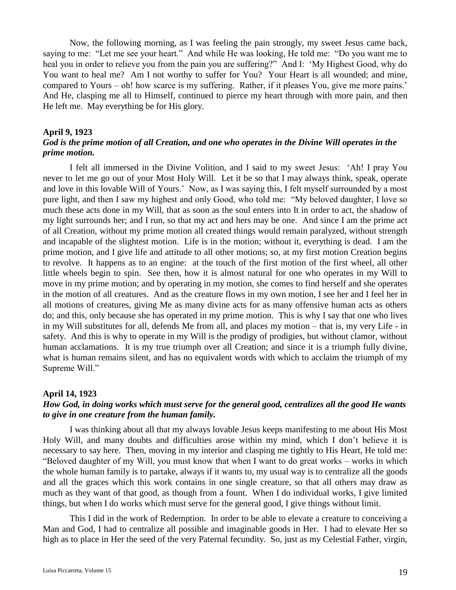Now, the following morning, as I was feeling the pain strongly, my sweet Jesus came back, saying to me: "Let me see your heart." And while He was looking, He told me: "Do you want me to heal you in order to relieve you from the pain you are suffering?" And I: 'My Highest Good, why do You want to heal me? Am I not worthy to suffer for You? Your Heart is all wounded; and mine, compared to Yours – oh! how scarce is my suffering. Rather, if it pleases You, give me more pains.' And He, clasping me all to Himself, continued to pierce my heart through with more pain, and then He left me. May everything be for His glory.

### **April 9, 1923**

## *God is the prime motion of all Creation, and one who operates in the Divine Will operates in the prime motion.*

I felt all immersed in the Divine Volition, and I said to my sweet Jesus: 'Ah! I pray You never to let me go out of your Most Holy Will. Let it be so that I may always think, speak, operate and love in this lovable Will of Yours.' Now, as I was saying this, I felt myself surrounded by a most pure light, and then I saw my highest and only Good, who told me: "My beloved daughter, I love so much these acts done in my Will, that as soon as the soul enters into It in order to act, the shadow of my light surrounds her; and I run, so that my act and hers may be one. And since I am the prime act of all Creation, without my prime motion all created things would remain paralyzed, without strength and incapable of the slightest motion. Life is in the motion; without it, everything is dead. I am the prime motion, and I give life and attitude to all other motions; so, at my first motion Creation begins to revolve. It happens as to an engine: at the touch of the first motion of the first wheel, all other little wheels begin to spin. See then, how it is almost natural for one who operates in my Will to move in my prime motion; and by operating in my motion, she comes to find herself and she operates in the motion of all creatures. And as the creature flows in my own motion, I see her and I feel her in all motions of creatures, giving Me as many divine acts for as many offensive human acts as others do; and this, only because she has operated in my prime motion. This is why I say that one who lives in my Will substitutes for all, defends Me from all, and places my motion – that is, my very Life - in safety. And this is why to operate in my Will is the prodigy of prodigies, but without clamor, without human acclamations. It is my true triumph over all Creation; and since it is a triumph fully divine, what is human remains silent, and has no equivalent words with which to acclaim the triumph of my Supreme Will."

### **April 14, 1923**

## *How God, in doing works which must serve for the general good, centralizes all the good He wants to give in one creature from the human family.*

I was thinking about all that my always lovable Jesus keeps manifesting to me about His Most Holy Will, and many doubts and difficulties arose within my mind, which I don't believe it is necessary to say here. Then, moving in my interior and clasping me tightly to His Heart, He told me: "Beloved daughter of my Will, you must know that when I want to do great works – works in which the whole human family is to partake, always if it wants to, my usual way is to centralize all the goods and all the graces which this work contains in one single creature, so that all others may draw as much as they want of that good, as though from a fount. When I do individual works, I give limited things, but when I do works which must serve for the general good, I give things without limit.

This I did in the work of Redemption. In order to be able to elevate a creature to conceiving a Man and God, I had to centralize all possible and imaginable goods in Her. I had to elevate Her so high as to place in Her the seed of the very Paternal fecundity. So, just as my Celestial Father, virgin,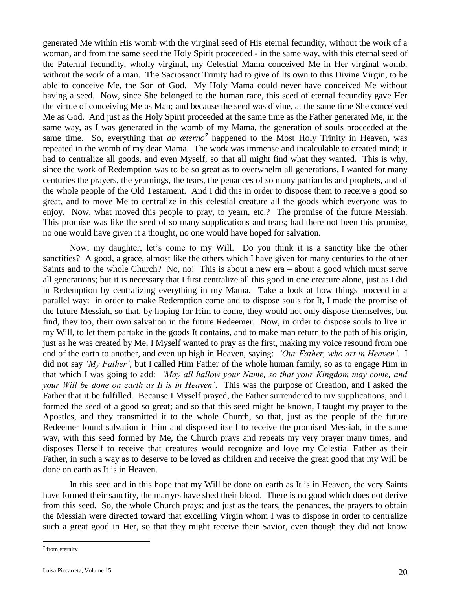generated Me within His womb with the virginal seed of His eternal fecundity, without the work of a woman, and from the same seed the Holy Spirit proceeded - in the same way, with this eternal seed of the Paternal fecundity, wholly virginal, my Celestial Mama conceived Me in Her virginal womb, without the work of a man. The Sacrosanct Trinity had to give of Its own to this Divine Virgin, to be able to conceive Me, the Son of God. My Holy Mama could never have conceived Me without having a seed. Now, since She belonged to the human race, this seed of eternal fecundity gave Her the virtue of conceiving Me as Man; and because the seed was divine, at the same time She conceived Me as God. And just as the Holy Spirit proceeded at the same time as the Father generated Me, in the same way, as I was generated in the womb of my Mama, the generation of souls proceeded at the same time. So, everything that *ab æterno*<sup>7</sup> happened to the Most Holy Trinity in Heaven, was repeated in the womb of my dear Mama. The work was immense and incalculable to created mind; it had to centralize all goods, and even Myself, so that all might find what they wanted. This is why, since the work of Redemption was to be so great as to overwhelm all generations, I wanted for many centuries the prayers, the yearnings, the tears, the penances of so many patriarchs and prophets, and of the whole people of the Old Testament. And I did this in order to dispose them to receive a good so great, and to move Me to centralize in this celestial creature all the goods which everyone was to enjoy. Now, what moved this people to pray, to yearn, etc.? The promise of the future Messiah. This promise was like the seed of so many supplications and tears; had there not been this promise, no one would have given it a thought, no one would have hoped for salvation.

Now, my daughter, let's come to my Will. Do you think it is a sanctity like the other sanctities? A good, a grace, almost like the others which I have given for many centuries to the other Saints and to the whole Church? No, no! This is about a new era – about a good which must serve all generations; but it is necessary that I first centralize all this good in one creature alone, just as I did in Redemption by centralizing everything in my Mama. Take a look at how things proceed in a parallel way: in order to make Redemption come and to dispose souls for It, I made the promise of the future Messiah, so that, by hoping for Him to come, they would not only dispose themselves, but find, they too, their own salvation in the future Redeemer. Now, in order to dispose souls to live in my Will, to let them partake in the goods It contains, and to make man return to the path of his origin, just as he was created by Me, I Myself wanted to pray as the first, making my voice resound from one end of the earth to another, and even up high in Heaven, saying: *'Our Father, who art in Heaven'*. I did not say *'My Father'*, but I called Him Father of the whole human family, so as to engage Him in that which I was going to add: *'May all hallow your Name, so that your Kingdom may come, and your Will be done on earth as It is in Heaven'*.This was the purpose of Creation, and I asked the Father that it be fulfilled. Because I Myself prayed, the Father surrendered to my supplications, and I formed the seed of a good so great; and so that this seed might be known, I taught my prayer to the Apostles, and they transmitted it to the whole Church, so that, just as the people of the future Redeemer found salvation in Him and disposed itself to receive the promised Messiah, in the same way, with this seed formed by Me, the Church prays and repeats my very prayer many times, and disposes Herself to receive that creatures would recognize and love my Celestial Father as their Father, in such a way as to deserve to be loved as children and receive the great good that my Will be done on earth as It is in Heaven.

In this seed and in this hope that my Will be done on earth as It is in Heaven, the very Saints have formed their sanctity, the martyrs have shed their blood. There is no good which does not derive from this seed. So, the whole Church prays; and just as the tears, the penances, the prayers to obtain the Messiah were directed toward that excelling Virgin whom I was to dispose in order to centralize such a great good in Her, so that they might receive their Savior, even though they did not know

 $\overline{a}$ 

<sup>7</sup> from eternity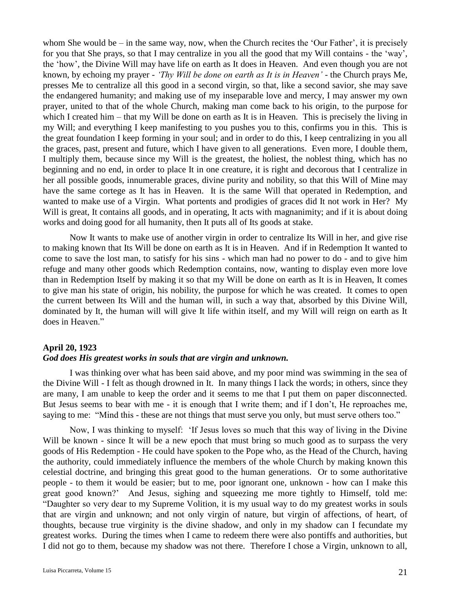whom She would be – in the same way, now, when the Church recites the 'Our Father', it is precisely for you that She prays, so that I may centralize in you all the good that my Will contains - the 'way', the 'how', the Divine Will may have life on earth as It does in Heaven. And even though you are not known, by echoing my prayer - *'Thy Will be done on earth as It is in Heaven'* - the Church prays Me, presses Me to centralize all this good in a second virgin, so that, like a second savior, she may save the endangered humanity; and making use of my inseparable love and mercy, I may answer my own prayer, united to that of the whole Church, making man come back to his origin, to the purpose for which I created him – that my Will be done on earth as It is in Heaven. This is precisely the living in my Will; and everything I keep manifesting to you pushes you to this, confirms you in this. This is the great foundation I keep forming in your soul; and in order to do this, I keep centralizing in you all the graces, past, present and future, which I have given to all generations. Even more, I double them, I multiply them, because since my Will is the greatest, the holiest, the noblest thing, which has no beginning and no end, in order to place It in one creature, it is right and decorous that I centralize in her all possible goods, innumerable graces, divine purity and nobility, so that this Will of Mine may have the same cortege as It has in Heaven. It is the same Will that operated in Redemption, and wanted to make use of a Virgin. What portents and prodigies of graces did It not work in Her? My Will is great, It contains all goods, and in operating, It acts with magnanimity; and if it is about doing works and doing good for all humanity, then It puts all of Its goods at stake.

Now It wants to make use of another virgin in order to centralize Its Will in her, and give rise to making known that Its Will be done on earth as It is in Heaven. And if in Redemption It wanted to come to save the lost man, to satisfy for his sins - which man had no power to do - and to give him refuge and many other goods which Redemption contains, now, wanting to display even more love than in Redemption Itself by making it so that my Will be done on earth as It is in Heaven, It comes to give man his state of origin, his nobility, the purpose for which he was created. It comes to open the current between Its Will and the human will, in such a way that, absorbed by this Divine Will, dominated by It, the human will will give It life within itself, and my Will will reign on earth as It does in Heaven."

### **April 20, 1923**

### *God does His greatest works in souls that are virgin and unknown.*

I was thinking over what has been said above, and my poor mind was swimming in the sea of the Divine Will - I felt as though drowned in It. In many things I lack the words; in others, since they are many, I am unable to keep the order and it seems to me that I put them on paper disconnected. But Jesus seems to bear with me - it is enough that I write them; and if I don't, He reproaches me, saying to me: "Mind this - these are not things that must serve you only, but must serve others too."

Now, I was thinking to myself: 'If Jesus loves so much that this way of living in the Divine Will be known - since It will be a new epoch that must bring so much good as to surpass the very goods of His Redemption - He could have spoken to the Pope who, as the Head of the Church, having the authority, could immediately influence the members of the whole Church by making known this celestial doctrine, and bringing this great good to the human generations. Or to some authoritative people - to them it would be easier; but to me, poor ignorant one, unknown - how can I make this great good known?' And Jesus, sighing and squeezing me more tightly to Himself, told me: "Daughter so very dear to my Supreme Volition, it is my usual way to do my greatest works in souls that are virgin and unknown; and not only virgin of nature, but virgin of affections, of heart, of thoughts, because true virginity is the divine shadow, and only in my shadow can I fecundate my greatest works. During the times when I came to redeem there were also pontiffs and authorities, but I did not go to them, because my shadow was not there. Therefore I chose a Virgin, unknown to all,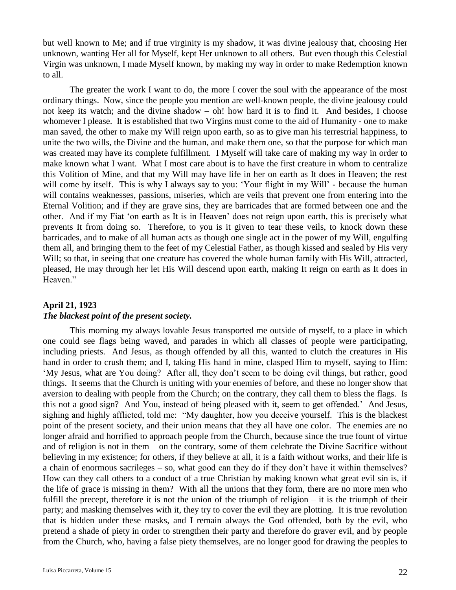but well known to Me; and if true virginity is my shadow, it was divine jealousy that, choosing Her unknown, wanting Her all for Myself, kept Her unknown to all others. But even though this Celestial Virgin was unknown, I made Myself known, by making my way in order to make Redemption known to all.

The greater the work I want to do, the more I cover the soul with the appearance of the most ordinary things. Now, since the people you mention are well-known people, the divine jealousy could not keep its watch; and the divine shadow – oh! how hard it is to find it. And besides, I choose whomever I please. It is established that two Virgins must come to the aid of Humanity - one to make man saved, the other to make my Will reign upon earth, so as to give man his terrestrial happiness, to unite the two wills, the Divine and the human, and make them one, so that the purpose for which man was created may have its complete fulfillment. I Myself will take care of making my way in order to make known what I want. What I most care about is to have the first creature in whom to centralize this Volition of Mine, and that my Will may have life in her on earth as It does in Heaven; the rest will come by itself. This is why I always say to you: 'Your flight in my Will' - because the human will contains weaknesses, passions, miseries, which are veils that prevent one from entering into the Eternal Volition; and if they are grave sins, they are barricades that are formed between one and the other. And if my Fiat 'on earth as It is in Heaven' does not reign upon earth, this is precisely what prevents It from doing so. Therefore, to you is it given to tear these veils, to knock down these barricades, and to make of all human acts as though one single act in the power of my Will, engulfing them all, and bringing them to the feet of my Celestial Father, as though kissed and sealed by His very Will; so that, in seeing that one creature has covered the whole human family with His Will, attracted, pleased, He may through her let His Will descend upon earth, making It reign on earth as It does in Heaven."

## **April 21, 1923** *The blackest point of the present society.*

This morning my always lovable Jesus transported me outside of myself, to a place in which one could see flags being waved, and parades in which all classes of people were participating, including priests. And Jesus, as though offended by all this, wanted to clutch the creatures in His hand in order to crush them; and I, taking His hand in mine, clasped Him to myself, saying to Him: 'My Jesus, what are You doing? After all, they don't seem to be doing evil things, but rather, good things. It seems that the Church is uniting with your enemies of before, and these no longer show that aversion to dealing with people from the Church; on the contrary, they call them to bless the flags. Is this not a good sign? And You, instead of being pleased with it, seem to get offended.' And Jesus, sighing and highly afflicted, told me: "My daughter, how you deceive yourself. This is the blackest point of the present society, and their union means that they all have one color. The enemies are no longer afraid and horrified to approach people from the Church, because since the true fount of virtue and of religion is not in them – on the contrary, some of them celebrate the Divine Sacrifice without believing in my existence; for others, if they believe at all, it is a faith without works, and their life is a chain of enormous sacrileges – so, what good can they do if they don't have it within themselves? How can they call others to a conduct of a true Christian by making known what great evil sin is, if the life of grace is missing in them? With all the unions that they form, there are no more men who fulfill the precept, therefore it is not the union of the triumph of religion – it is the triumph of their party; and masking themselves with it, they try to cover the evil they are plotting. It is true revolution that is hidden under these masks, and I remain always the God offended, both by the evil, who pretend a shade of piety in order to strengthen their party and therefore do graver evil, and by people from the Church, who, having a false piety themselves, are no longer good for drawing the peoples to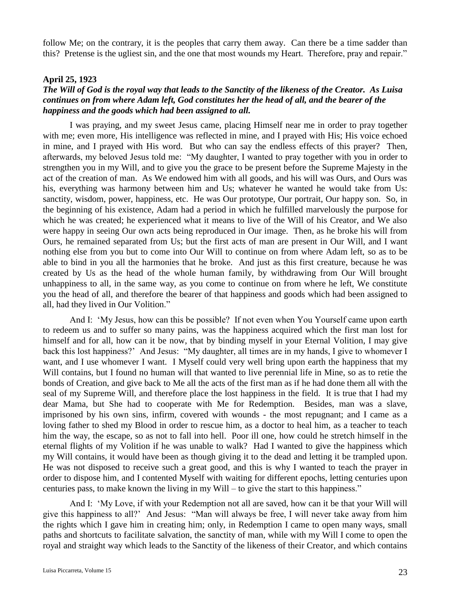follow Me; on the contrary, it is the peoples that carry them away. Can there be a time sadder than this? Pretense is the ugliest sin, and the one that most wounds my Heart. Therefore, pray and repair."

### **April 25, 1923**

## *The Will of God is the royal way that leads to the Sanctity of the likeness of the Creator. As Luisa continues on from where Adam left, God constitutes her the head of all, and the bearer of the happiness and the goods which had been assigned to all.*

I was praying, and my sweet Jesus came, placing Himself near me in order to pray together with me; even more, His intelligence was reflected in mine, and I prayed with His; His voice echoed in mine, and I prayed with His word. But who can say the endless effects of this prayer? Then, afterwards, my beloved Jesus told me: "My daughter, I wanted to pray together with you in order to strengthen you in my Will, and to give you the grace to be present before the Supreme Majesty in the act of the creation of man. As We endowed him with all goods, and his will was Ours, and Ours was his, everything was harmony between him and Us; whatever he wanted he would take from Us: sanctity, wisdom, power, happiness, etc. He was Our prototype, Our portrait, Our happy son. So, in the beginning of his existence, Adam had a period in which he fulfilled marvelously the purpose for which he was created; he experienced what it means to live of the Will of his Creator, and We also were happy in seeing Our own acts being reproduced in Our image. Then, as he broke his will from Ours, he remained separated from Us; but the first acts of man are present in Our Will, and I want nothing else from you but to come into Our Will to continue on from where Adam left, so as to be able to bind in you all the harmonies that he broke. And just as this first creature, because he was created by Us as the head of the whole human family, by withdrawing from Our Will brought unhappiness to all, in the same way, as you come to continue on from where he left, We constitute you the head of all, and therefore the bearer of that happiness and goods which had been assigned to all, had they lived in Our Volition."

And I: 'My Jesus, how can this be possible? If not even when You Yourself came upon earth to redeem us and to suffer so many pains, was the happiness acquired which the first man lost for himself and for all, how can it be now, that by binding myself in your Eternal Volition, I may give back this lost happiness?' And Jesus: "My daughter, all times are in my hands, I give to whomever I want, and I use whomever I want. I Myself could very well bring upon earth the happiness that my Will contains, but I found no human will that wanted to live perennial life in Mine, so as to retie the bonds of Creation, and give back to Me all the acts of the first man as if he had done them all with the seal of my Supreme Will, and therefore place the lost happiness in the field. It is true that I had my dear Mama, but She had to cooperate with Me for Redemption. Besides, man was a slave, imprisoned by his own sins, infirm, covered with wounds - the most repugnant; and I came as a loving father to shed my Blood in order to rescue him, as a doctor to heal him, as a teacher to teach him the way, the escape, so as not to fall into hell. Poor ill one, how could he stretch himself in the eternal flights of my Volition if he was unable to walk? Had I wanted to give the happiness which my Will contains, it would have been as though giving it to the dead and letting it be trampled upon. He was not disposed to receive such a great good, and this is why I wanted to teach the prayer in order to dispose him, and I contented Myself with waiting for different epochs, letting centuries upon centuries pass, to make known the living in my Will – to give the start to this happiness."

And I: 'My Love, if with your Redemption not all are saved, how can it be that your Will will give this happiness to all?' And Jesus: "Man will always be free, I will never take away from him the rights which I gave him in creating him; only, in Redemption I came to open many ways, small paths and shortcuts to facilitate salvation, the sanctity of man, while with my Will I come to open the royal and straight way which leads to the Sanctity of the likeness of their Creator, and which contains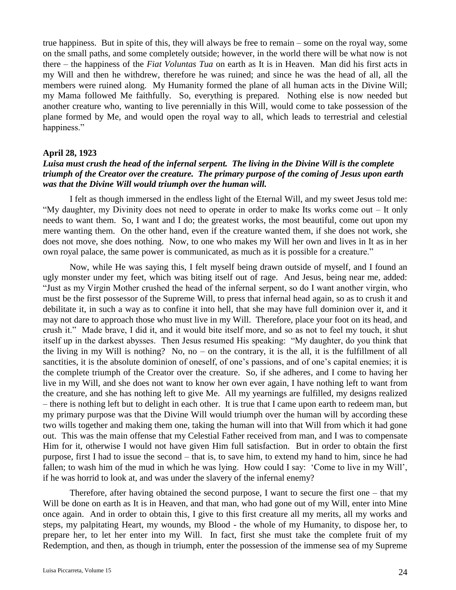true happiness. But in spite of this, they will always be free to remain – some on the royal way, some on the small paths, and some completely outside; however, in the world there will be what now is not there – the happiness of the *Fiat Voluntas Tua* on earth as It is in Heaven. Man did his first acts in my Will and then he withdrew, therefore he was ruined; and since he was the head of all, all the members were ruined along. My Humanity formed the plane of all human acts in the Divine Will; my Mama followed Me faithfully. So, everything is prepared. Nothing else is now needed but another creature who, wanting to live perennially in this Will, would come to take possession of the plane formed by Me, and would open the royal way to all, which leads to terrestrial and celestial happiness."

### **April 28, 1923**

## *Luisa must crush the head of the infernal serpent. The living in the Divine Will is the complete triumph of the Creator over the creature. The primary purpose of the coming of Jesus upon earth was that the Divine Will would triumph over the human will.*

I felt as though immersed in the endless light of the Eternal Will, and my sweet Jesus told me: "My daughter, my Divinity does not need to operate in order to make Its works come out – It only needs to want them. So, I want and I do; the greatest works, the most beautiful, come out upon my mere wanting them. On the other hand, even if the creature wanted them, if she does not work, she does not move, she does nothing. Now, to one who makes my Will her own and lives in It as in her own royal palace, the same power is communicated, as much as it is possible for a creature."

Now, while He was saying this, I felt myself being drawn outside of myself, and I found an ugly monster under my feet, which was biting itself out of rage. And Jesus, being near me, added: "Just as my Virgin Mother crushed the head of the infernal serpent, so do I want another virgin, who must be the first possessor of the Supreme Will, to press that infernal head again, so as to crush it and debilitate it, in such a way as to confine it into hell, that she may have full dominion over it, and it may not dare to approach those who must live in my Will. Therefore, place your foot on its head, and crush it." Made brave, I did it, and it would bite itself more, and so as not to feel my touch, it shut itself up in the darkest abysses. Then Jesus resumed His speaking: "My daughter, do you think that the living in my Will is nothing? No, no – on the contrary, it is the all, it is the fulfillment of all sanctities, it is the absolute dominion of oneself, of one's passions, and of one's capital enemies; it is the complete triumph of the Creator over the creature. So, if she adheres, and I come to having her live in my Will, and she does not want to know her own ever again, I have nothing left to want from the creature, and she has nothing left to give Me. All my yearnings are fulfilled, my designs realized – there is nothing left but to delight in each other. It is true that I came upon earth to redeem man, but my primary purpose was that the Divine Will would triumph over the human will by according these two wills together and making them one, taking the human will into that Will from which it had gone out. This was the main offense that my Celestial Father received from man, and I was to compensate Him for it, otherwise I would not have given Him full satisfaction. But in order to obtain the first purpose, first I had to issue the second – that is, to save him, to extend my hand to him, since he had fallen; to wash him of the mud in which he was lying. How could I say: 'Come to live in my Will', if he was horrid to look at, and was under the slavery of the infernal enemy?

Therefore, after having obtained the second purpose, I want to secure the first one – that my Will be done on earth as It is in Heaven, and that man, who had gone out of my Will, enter into Mine once again. And in order to obtain this, I give to this first creature all my merits, all my works and steps, my palpitating Heart, my wounds, my Blood - the whole of my Humanity, to dispose her, to prepare her, to let her enter into my Will. In fact, first she must take the complete fruit of my Redemption, and then, as though in triumph, enter the possession of the immense sea of my Supreme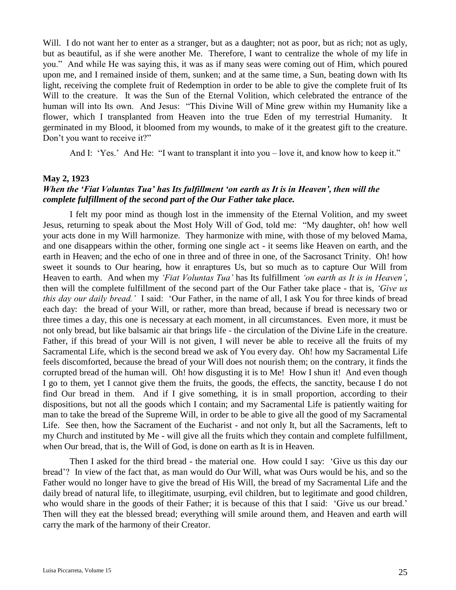Will. I do not want her to enter as a stranger, but as a daughter; not as poor, but as rich; not as ugly, but as beautiful, as if she were another Me. Therefore, I want to centralize the whole of my life in you." And while He was saying this, it was as if many seas were coming out of Him, which poured upon me, and I remained inside of them, sunken; and at the same time, a Sun, beating down with Its light, receiving the complete fruit of Redemption in order to be able to give the complete fruit of Its Will to the creature. It was the Sun of the Eternal Volition, which celebrated the entrance of the human will into Its own. And Jesus: "This Divine Will of Mine grew within my Humanity like a flower, which I transplanted from Heaven into the true Eden of my terrestrial Humanity. It germinated in my Blood, it bloomed from my wounds, to make of it the greatest gift to the creature. Don't you want to receive it?"

And I: 'Yes.' And He: "I want to transplant it into you – love it, and know how to keep it."

### **May 2, 1923**

## *When the 'Fiat Voluntas Tua' has Its fulfillment 'on earth as It is in Heaven', then will the complete fulfillment of the second part of the Our Father take place.*

I felt my poor mind as though lost in the immensity of the Eternal Volition, and my sweet Jesus, returning to speak about the Most Holy Will of God, told me: "My daughter, oh! how well your acts done in my Will harmonize. They harmonize with mine, with those of my beloved Mama, and one disappears within the other, forming one single act - it seems like Heaven on earth, and the earth in Heaven; and the echo of one in three and of three in one, of the Sacrosanct Trinity. Oh! how sweet it sounds to Our hearing, how it enraptures Us, but so much as to capture Our Will from Heaven to earth. And when my *'Fiat Voluntas Tua'* has Its fulfillment *'on earth as It is in Heaven'*, then will the complete fulfillment of the second part of the Our Father take place - that is, *'Give us this day our daily bread.'* I said: 'Our Father, in the name of all, I ask You for three kinds of bread each day: the bread of your Will, or rather, more than bread, because if bread is necessary two or three times a day, this one is necessary at each moment, in all circumstances. Even more, it must be not only bread, but like balsamic air that brings life - the circulation of the Divine Life in the creature. Father, if this bread of your Will is not given, I will never be able to receive all the fruits of my Sacramental Life, which is the second bread we ask of You every day. Oh! how my Sacramental Life feels discomforted, because the bread of your Will does not nourish them; on the contrary, it finds the corrupted bread of the human will. Oh! how disgusting it is to Me! How I shun it! And even though I go to them, yet I cannot give them the fruits, the goods, the effects, the sanctity, because I do not find Our bread in them. And if I give something, it is in small proportion, according to their dispositions, but not all the goods which I contain; and my Sacramental Life is patiently waiting for man to take the bread of the Supreme Will, in order to be able to give all the good of my Sacramental Life. See then, how the Sacrament of the Eucharist - and not only It, but all the Sacraments, left to my Church and instituted by Me - will give all the fruits which they contain and complete fulfillment, when Our bread, that is, the Will of God, is done on earth as It is in Heaven.

Then I asked for the third bread - the material one. How could I say: 'Give us this day our bread'? In view of the fact that, as man would do Our Will, what was Ours would be his, and so the Father would no longer have to give the bread of His Will, the bread of my Sacramental Life and the daily bread of natural life, to illegitimate, usurping, evil children, but to legitimate and good children, who would share in the goods of their Father; it is because of this that I said: 'Give us our bread.' Then will they eat the blessed bread; everything will smile around them, and Heaven and earth will carry the mark of the harmony of their Creator.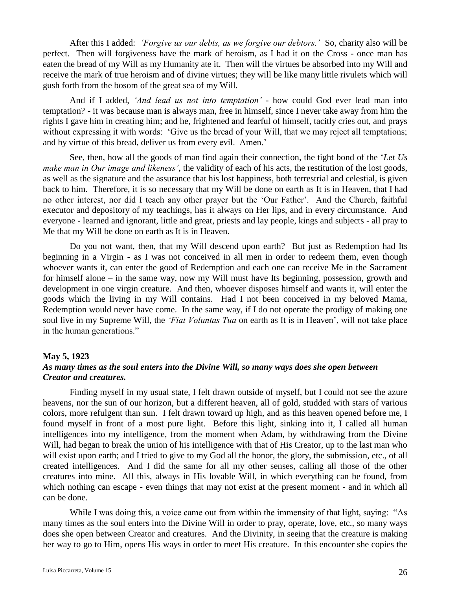After this I added: *'Forgive us our debts, as we forgive our debtors.'* So, charity also will be perfect. Then will forgiveness have the mark of heroism, as I had it on the Cross - once man has eaten the bread of my Will as my Humanity ate it. Then will the virtues be absorbed into my Will and receive the mark of true heroism and of divine virtues; they will be like many little rivulets which will gush forth from the bosom of the great sea of my Will.

And if I added, *'And lead us not into temptation'* - how could God ever lead man into temptation? - it was because man is always man, free in himself, since I never take away from him the rights I gave him in creating him; and he, frightened and fearful of himself, tacitly cries out, and prays without expressing it with words: 'Give us the bread of your Will, that we may reject all temptations; and by virtue of this bread, deliver us from every evil. Amen.'

See, then, how all the goods of man find again their connection, the tight bond of the '*Let Us make man in Our image and likeness'*, the validity of each of his acts, the restitution of the lost goods, as well as the signature and the assurance that his lost happiness, both terrestrial and celestial, is given back to him. Therefore, it is so necessary that my Will be done on earth as It is in Heaven, that I had no other interest, nor did I teach any other prayer but the 'Our Father'. And the Church, faithful executor and depository of my teachings, has it always on Her lips, and in every circumstance. And everyone - learned and ignorant, little and great, priests and lay people, kings and subjects - all pray to Me that my Will be done on earth as It is in Heaven.

Do you not want, then, that my Will descend upon earth? But just as Redemption had Its beginning in a Virgin - as I was not conceived in all men in order to redeem them, even though whoever wants it, can enter the good of Redemption and each one can receive Me in the Sacrament for himself alone – in the same way, now my Will must have Its beginning, possession, growth and development in one virgin creature. And then, whoever disposes himself and wants it, will enter the goods which the living in my Will contains. Had I not been conceived in my beloved Mama, Redemption would never have come. In the same way, if I do not operate the prodigy of making one soul live in my Supreme Will, the *'Fiat Voluntas Tua* on earth as It is in Heaven', will not take place in the human generations."

### **May 5, 1923**

## *As many times as the soul enters into the Divine Will, so many ways does she open between Creator and creatures.*

Finding myself in my usual state, I felt drawn outside of myself, but I could not see the azure heavens, nor the sun of our horizon, but a different heaven, all of gold, studded with stars of various colors, more refulgent than sun. I felt drawn toward up high, and as this heaven opened before me, I found myself in front of a most pure light. Before this light, sinking into it, I called all human intelligences into my intelligence, from the moment when Adam, by withdrawing from the Divine Will, had began to break the union of his intelligence with that of His Creator, up to the last man who will exist upon earth; and I tried to give to my God all the honor, the glory, the submission, etc., of all created intelligences. And I did the same for all my other senses, calling all those of the other creatures into mine. All this, always in His lovable Will, in which everything can be found, from which nothing can escape - even things that may not exist at the present moment - and in which all can be done.

While I was doing this, a voice came out from within the immensity of that light, saying: "As many times as the soul enters into the Divine Will in order to pray, operate, love, etc., so many ways does she open between Creator and creatures. And the Divinity, in seeing that the creature is making her way to go to Him, opens His ways in order to meet His creature. In this encounter she copies the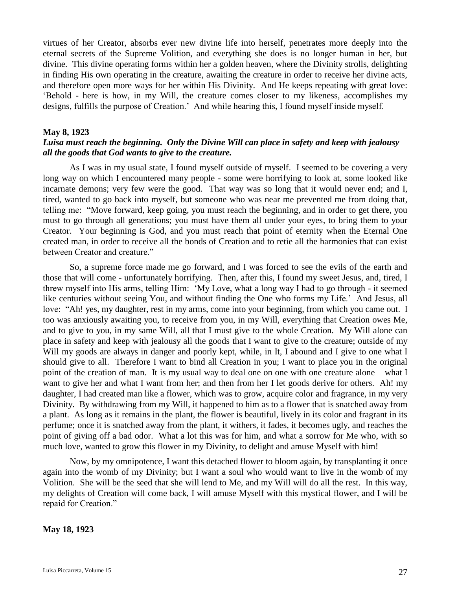virtues of her Creator, absorbs ever new divine life into herself, penetrates more deeply into the eternal secrets of the Supreme Volition, and everything she does is no longer human in her, but divine. This divine operating forms within her a golden heaven, where the Divinity strolls, delighting in finding His own operating in the creature, awaiting the creature in order to receive her divine acts, and therefore open more ways for her within His Divinity. And He keeps repeating with great love: 'Behold - here is how, in my Will, the creature comes closer to my likeness, accomplishes my designs, fulfills the purpose of Creation.' And while hearing this, I found myself inside myself.

### **May 8, 1923**

## *Luisa must reach the beginning. Only the Divine Will can place in safety and keep with jealousy all the goods that God wants to give to the creature.*

As I was in my usual state, I found myself outside of myself. I seemed to be covering a very long way on which I encountered many people - some were horrifying to look at, some looked like incarnate demons; very few were the good. That way was so long that it would never end; and I, tired, wanted to go back into myself, but someone who was near me prevented me from doing that, telling me: "Move forward, keep going, you must reach the beginning, and in order to get there, you must to go through all generations; you must have them all under your eyes, to bring them to your Creator. Your beginning is God, and you must reach that point of eternity when the Eternal One created man, in order to receive all the bonds of Creation and to retie all the harmonies that can exist between Creator and creature."

So, a supreme force made me go forward, and I was forced to see the evils of the earth and those that will come - unfortunately horrifying. Then, after this, I found my sweet Jesus, and, tired, I threw myself into His arms, telling Him: 'My Love, what a long way I had to go through - it seemed like centuries without seeing You, and without finding the One who forms my Life.' And Jesus, all love: "Ah! yes, my daughter, rest in my arms, come into your beginning, from which you came out. I too was anxiously awaiting you, to receive from you, in my Will, everything that Creation owes Me, and to give to you, in my same Will, all that I must give to the whole Creation. My Will alone can place in safety and keep with jealousy all the goods that I want to give to the creature; outside of my Will my goods are always in danger and poorly kept, while, in It, I abound and I give to one what I should give to all. Therefore I want to bind all Creation in you; I want to place you in the original point of the creation of man. It is my usual way to deal one on one with one creature alone – what I want to give her and what I want from her; and then from her I let goods derive for others. Ah! my daughter, I had created man like a flower, which was to grow, acquire color and fragrance, in my very Divinity. By withdrawing from my Will, it happened to him as to a flower that is snatched away from a plant. As long as it remains in the plant, the flower is beautiful, lively in its color and fragrant in its perfume; once it is snatched away from the plant, it withers, it fades, it becomes ugly, and reaches the point of giving off a bad odor. What a lot this was for him, and what a sorrow for Me who, with so much love, wanted to grow this flower in my Divinity, to delight and amuse Myself with him!

Now, by my omnipotence, I want this detached flower to bloom again, by transplanting it once again into the womb of my Divinity; but I want a soul who would want to live in the womb of my Volition. She will be the seed that she will lend to Me, and my Will will do all the rest. In this way, my delights of Creation will come back, I will amuse Myself with this mystical flower, and I will be repaid for Creation."

### **May 18, 1923**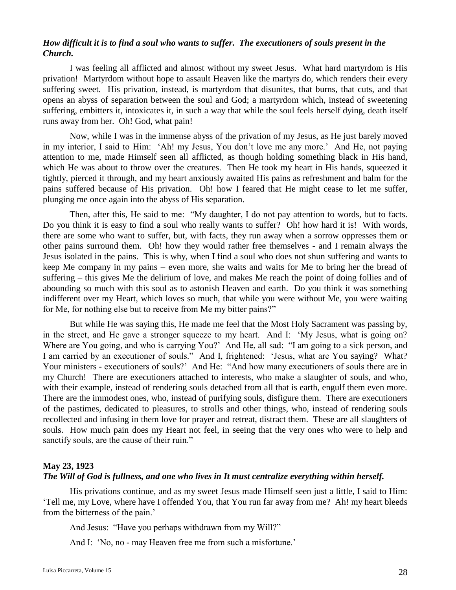## *How difficult it is to find a soul who wants to suffer. The executioners of souls present in the Church.*

I was feeling all afflicted and almost without my sweet Jesus. What hard martyrdom is His privation! Martyrdom without hope to assault Heaven like the martyrs do, which renders their every suffering sweet. His privation, instead, is martyrdom that disunites, that burns, that cuts, and that opens an abyss of separation between the soul and God; a martyrdom which, instead of sweetening suffering, embitters it, intoxicates it, in such a way that while the soul feels herself dying, death itself runs away from her. Oh! God, what pain!

Now, while I was in the immense abyss of the privation of my Jesus, as He just barely moved in my interior, I said to Him: 'Ah! my Jesus, You don't love me any more.' And He, not paying attention to me, made Himself seen all afflicted, as though holding something black in His hand, which He was about to throw over the creatures. Then He took my heart in His hands, squeezed it tightly, pierced it through, and my heart anxiously awaited His pains as refreshment and balm for the pains suffered because of His privation. Oh! how I feared that He might cease to let me suffer, plunging me once again into the abyss of His separation.

Then, after this, He said to me: "My daughter, I do not pay attention to words, but to facts. Do you think it is easy to find a soul who really wants to suffer? Oh! how hard it is! With words, there are some who want to suffer, but, with facts, they run away when a sorrow oppresses them or other pains surround them. Oh! how they would rather free themselves - and I remain always the Jesus isolated in the pains. This is why, when I find a soul who does not shun suffering and wants to keep Me company in my pains – even more, she waits and waits for Me to bring her the bread of suffering – this gives Me the delirium of love, and makes Me reach the point of doing follies and of abounding so much with this soul as to astonish Heaven and earth. Do you think it was something indifferent over my Heart, which loves so much, that while you were without Me, you were waiting for Me, for nothing else but to receive from Me my bitter pains?"

But while He was saying this, He made me feel that the Most Holy Sacrament was passing by, in the street, and He gave a stronger squeeze to my heart. And I: 'My Jesus, what is going on? Where are You going, and who is carrying You?' And He, all sad: "I am going to a sick person, and I am carried by an executioner of souls." And I, frightened: 'Jesus, what are You saying? What? Your ministers - executioners of souls?' And He: "And how many executioners of souls there are in my Church! There are executioners attached to interests, who make a slaughter of souls, and who, with their example, instead of rendering souls detached from all that is earth, engulf them even more. There are the immodest ones, who, instead of purifying souls, disfigure them. There are executioners of the pastimes, dedicated to pleasures, to strolls and other things, who, instead of rendering souls recollected and infusing in them love for prayer and retreat, distract them. These are all slaughters of souls. How much pain does my Heart not feel, in seeing that the very ones who were to help and sanctify souls, are the cause of their ruin."

## **May 23, 1923**

## *The Will of God is fullness, and one who lives in It must centralize everything within herself.*

His privations continue, and as my sweet Jesus made Himself seen just a little, I said to Him: 'Tell me, my Love, where have I offended You, that You run far away from me? Ah! my heart bleeds from the bitterness of the pain.'

And Jesus: "Have you perhaps withdrawn from my Will?"

And I: 'No, no - may Heaven free me from such a misfortune.'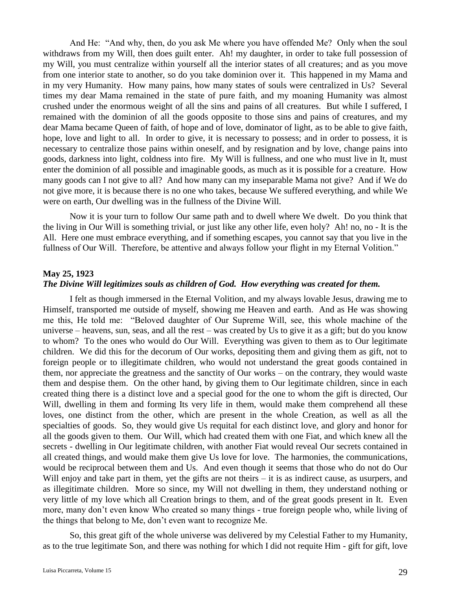And He: "And why, then, do you ask Me where you have offended Me? Only when the soul withdraws from my Will, then does guilt enter. Ah! my daughter, in order to take full possession of my Will, you must centralize within yourself all the interior states of all creatures; and as you move from one interior state to another, so do you take dominion over it. This happened in my Mama and in my very Humanity. How many pains, how many states of souls were centralized in Us? Several times my dear Mama remained in the state of pure faith, and my moaning Humanity was almost crushed under the enormous weight of all the sins and pains of all creatures. But while I suffered, I remained with the dominion of all the goods opposite to those sins and pains of creatures, and my dear Mama became Queen of faith, of hope and of love, dominator of light, as to be able to give faith, hope, love and light to all. In order to give, it is necessary to possess; and in order to possess, it is necessary to centralize those pains within oneself, and by resignation and by love, change pains into goods, darkness into light, coldness into fire. My Will is fullness, and one who must live in It, must enter the dominion of all possible and imaginable goods, as much as it is possible for a creature. How many goods can I not give to all? And how many can my inseparable Mama not give? And if We do not give more, it is because there is no one who takes, because We suffered everything, and while We were on earth, Our dwelling was in the fullness of the Divine Will.

Now it is your turn to follow Our same path and to dwell where We dwelt. Do you think that the living in Our Will is something trivial, or just like any other life, even holy? Ah! no, no - It is the All. Here one must embrace everything, and if something escapes, you cannot say that you live in the fullness of Our Will. Therefore, be attentive and always follow your flight in my Eternal Volition."

### **May 25, 1923**

## *The Divine Will legitimizes souls as children of God. How everything was created for them.*

I felt as though immersed in the Eternal Volition, and my always lovable Jesus, drawing me to Himself, transported me outside of myself, showing me Heaven and earth. And as He was showing me this, He told me: "Beloved daughter of Our Supreme Will, see, this whole machine of the universe – heavens, sun, seas, and all the rest – was created by Us to give it as a gift; but do you know to whom? To the ones who would do Our Will. Everything was given to them as to Our legitimate children. We did this for the decorum of Our works, depositing them and giving them as gift, not to foreign people or to illegitimate children, who would not understand the great goods contained in them, nor appreciate the greatness and the sanctity of Our works – on the contrary, they would waste them and despise them. On the other hand, by giving them to Our legitimate children, since in each created thing there is a distinct love and a special good for the one to whom the gift is directed, Our Will, dwelling in them and forming Its very life in them, would make them comprehend all these loves, one distinct from the other, which are present in the whole Creation, as well as all the specialties of goods. So, they would give Us requital for each distinct love, and glory and honor for all the goods given to them. Our Will, which had created them with one Fiat, and which knew all the secrets - dwelling in Our legitimate children, with another Fiat would reveal Our secrets contained in all created things, and would make them give Us love for love. The harmonies, the communications, would be reciprocal between them and Us. And even though it seems that those who do not do Our Will enjoy and take part in them, yet the gifts are not theirs – it is as indirect cause, as usurpers, and as illegitimate children. More so since, my Will not dwelling in them, they understand nothing or very little of my love which all Creation brings to them, and of the great goods present in It. Even more, many don't even know Who created so many things - true foreign people who, while living of the things that belong to Me, don't even want to recognize Me.

So, this great gift of the whole universe was delivered by my Celestial Father to my Humanity, as to the true legitimate Son, and there was nothing for which I did not requite Him - gift for gift, love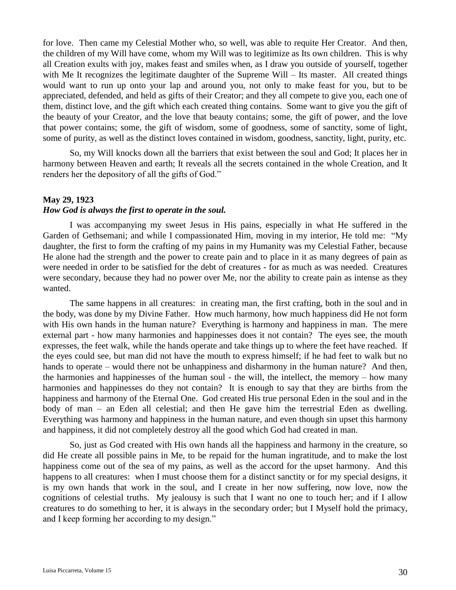for love. Then came my Celestial Mother who, so well, was able to requite Her Creator. And then, the children of my Will have come, whom my Will was to legitimize as Its own children. This is why all Creation exults with joy, makes feast and smiles when, as I draw you outside of yourself, together with Me It recognizes the legitimate daughter of the Supreme Will – Its master. All created things would want to run up onto your lap and around you, not only to make feast for you, but to be appreciated, defended, and held as gifts of their Creator; and they all compete to give you, each one of them, distinct love, and the gift which each created thing contains. Some want to give you the gift of the beauty of your Creator, and the love that beauty contains; some, the gift of power, and the love that power contains; some, the gift of wisdom, some of goodness, some of sanctity, some of light, some of purity, as well as the distinct loves contained in wisdom, goodness, sanctity, light, purity, etc.

So, my Will knocks down all the barriers that exist between the soul and God; It places her in harmony between Heaven and earth; It reveals all the secrets contained in the whole Creation, and It renders her the depository of all the gifts of God."

### **May 29, 1923**

### *How God is always the first to operate in the soul.*

I was accompanying my sweet Jesus in His pains, especially in what He suffered in the Garden of Gethsemani; and while I compassionated Him, moving in my interior, He told me: "My daughter, the first to form the crafting of my pains in my Humanity was my Celestial Father, because He alone had the strength and the power to create pain and to place in it as many degrees of pain as were needed in order to be satisfied for the debt of creatures - for as much as was needed. Creatures were secondary, because they had no power over Me, nor the ability to create pain as intense as they wanted.

The same happens in all creatures: in creating man, the first crafting, both in the soul and in the body, was done by my Divine Father. How much harmony, how much happiness did He not form with His own hands in the human nature? Everything is harmony and happiness in man. The mere external part - how many harmonies and happinesses does it not contain? The eyes see, the mouth expresses, the feet walk, while the hands operate and take things up to where the feet have reached. If the eyes could see, but man did not have the mouth to express himself; if he had feet to walk but no hands to operate – would there not be unhappiness and disharmony in the human nature? And then, the harmonies and happinesses of the human soul - the will, the intellect, the memory – how many harmonies and happinesses do they not contain? It is enough to say that they are births from the happiness and harmony of the Eternal One. God created His true personal Eden in the soul and in the body of man – an Eden all celestial; and then He gave him the terrestrial Eden as dwelling. Everything was harmony and happiness in the human nature, and even though sin upset this harmony and happiness, it did not completely destroy all the good which God had created in man.

So, just as God created with His own hands all the happiness and harmony in the creature, so did He create all possible pains in Me, to be repaid for the human ingratitude, and to make the lost happiness come out of the sea of my pains, as well as the accord for the upset harmony. And this happens to all creatures: when I must choose them for a distinct sanctity or for my special designs, it is my own hands that work in the soul, and I create in her now suffering, now love, now the cognitions of celestial truths. My jealousy is such that I want no one to touch her; and if I allow creatures to do something to her, it is always in the secondary order; but I Myself hold the primacy, and I keep forming her according to my design."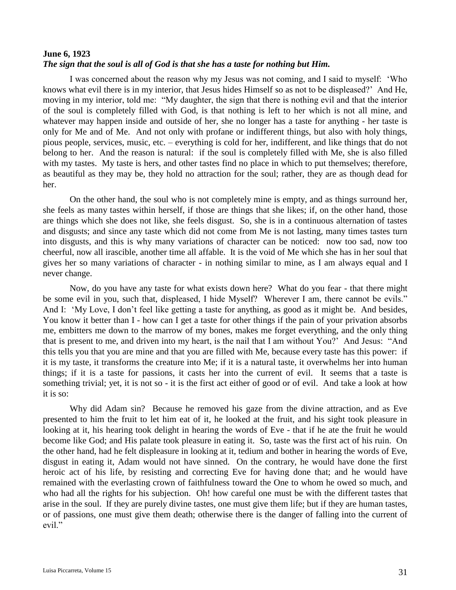## **June 6, 1923** *The sign that the soul is all of God is that she has a taste for nothing but Him.*

I was concerned about the reason why my Jesus was not coming, and I said to myself: 'Who knows what evil there is in my interior, that Jesus hides Himself so as not to be displeased?' And He, moving in my interior, told me: "My daughter, the sign that there is nothing evil and that the interior of the soul is completely filled with God, is that nothing is left to her which is not all mine, and whatever may happen inside and outside of her, she no longer has a taste for anything - her taste is only for Me and of Me. And not only with profane or indifferent things, but also with holy things, pious people, services, music, etc. – everything is cold for her, indifferent, and like things that do not belong to her. And the reason is natural: if the soul is completely filled with Me, she is also filled with my tastes. My taste is hers, and other tastes find no place in which to put themselves; therefore, as beautiful as they may be, they hold no attraction for the soul; rather, they are as though dead for her.

On the other hand, the soul who is not completely mine is empty, and as things surround her, she feels as many tastes within herself, if those are things that she likes; if, on the other hand, those are things which she does not like, she feels disgust. So, she is in a continuous alternation of tastes and disgusts; and since any taste which did not come from Me is not lasting, many times tastes turn into disgusts, and this is why many variations of character can be noticed: now too sad, now too cheerful, now all irascible, another time all affable. It is the void of Me which she has in her soul that gives her so many variations of character - in nothing similar to mine, as I am always equal and I never change.

Now, do you have any taste for what exists down here? What do you fear - that there might be some evil in you, such that, displeased, I hide Myself? Wherever I am, there cannot be evils." And I: 'My Love, I don't feel like getting a taste for anything, as good as it might be. And besides, You know it better than I - how can I get a taste for other things if the pain of your privation absorbs me, embitters me down to the marrow of my bones, makes me forget everything, and the only thing that is present to me, and driven into my heart, is the nail that I am without You?' And Jesus: "And this tells you that you are mine and that you are filled with Me, because every taste has this power: if it is my taste, it transforms the creature into Me; if it is a natural taste, it overwhelms her into human things; if it is a taste for passions, it casts her into the current of evil. It seems that a taste is something trivial; yet, it is not so - it is the first act either of good or of evil. And take a look at how it is so:

Why did Adam sin? Because he removed his gaze from the divine attraction, and as Eve presented to him the fruit to let him eat of it, he looked at the fruit, and his sight took pleasure in looking at it, his hearing took delight in hearing the words of Eve - that if he ate the fruit he would become like God; and His palate took pleasure in eating it. So, taste was the first act of his ruin. On the other hand, had he felt displeasure in looking at it, tedium and bother in hearing the words of Eve, disgust in eating it, Adam would not have sinned. On the contrary, he would have done the first heroic act of his life, by resisting and correcting Eve for having done that; and he would have remained with the everlasting crown of faithfulness toward the One to whom he owed so much, and who had all the rights for his subjection. Oh! how careful one must be with the different tastes that arise in the soul. If they are purely divine tastes, one must give them life; but if they are human tastes, or of passions, one must give them death; otherwise there is the danger of falling into the current of evil."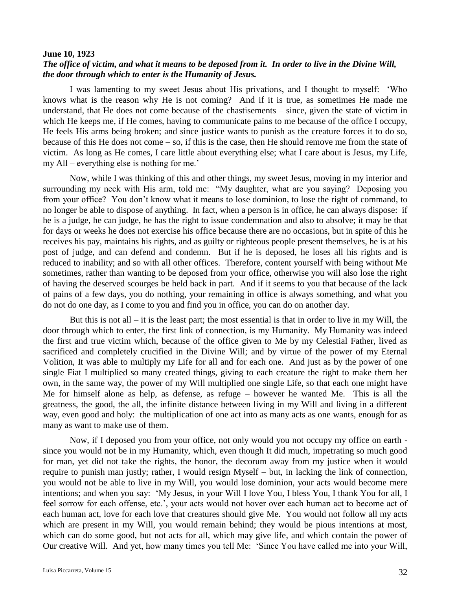### **June 10, 1923**

## *The office of victim, and what it means to be deposed from it. In order to live in the Divine Will, the door through which to enter is the Humanity of Jesus.*

I was lamenting to my sweet Jesus about His privations, and I thought to myself: 'Who knows what is the reason why He is not coming? And if it is true, as sometimes He made me understand, that He does not come because of the chastisements – since, given the state of victim in which He keeps me, if He comes, having to communicate pains to me because of the office I occupy, He feels His arms being broken; and since justice wants to punish as the creature forces it to do so, because of this He does not come  $-$  so, if this is the case, then He should remove me from the state of victim. As long as He comes, I care little about everything else; what I care about is Jesus, my Life, my All – everything else is nothing for me.'

Now, while I was thinking of this and other things, my sweet Jesus, moving in my interior and surrounding my neck with His arm, told me: "My daughter, what are you saying? Deposing you from your office? You don't know what it means to lose dominion, to lose the right of command, to no longer be able to dispose of anything. In fact, when a person is in office, he can always dispose: if he is a judge, he can judge, he has the right to issue condemnation and also to absolve; it may be that for days or weeks he does not exercise his office because there are no occasions, but in spite of this he receives his pay, maintains his rights, and as guilty or righteous people present themselves, he is at his post of judge, and can defend and condemn. But if he is deposed, he loses all his rights and is reduced to inability; and so with all other offices. Therefore, content yourself with being without Me sometimes, rather than wanting to be deposed from your office, otherwise you will also lose the right of having the deserved scourges be held back in part. And if it seems to you that because of the lack of pains of a few days, you do nothing, your remaining in office is always something, and what you do not do one day, as I come to you and find you in office, you can do on another day.

But this is not all – it is the least part; the most essential is that in order to live in my Will, the door through which to enter, the first link of connection, is my Humanity. My Humanity was indeed the first and true victim which, because of the office given to Me by my Celestial Father, lived as sacrificed and completely crucified in the Divine Will; and by virtue of the power of my Eternal Volition, It was able to multiply my Life for all and for each one. And just as by the power of one single Fiat I multiplied so many created things, giving to each creature the right to make them her own, in the same way, the power of my Will multiplied one single Life, so that each one might have Me for himself alone as help, as defense, as refuge – however he wanted Me. This is all the greatness, the good, the all, the infinite distance between living in my Will and living in a different way, even good and holy: the multiplication of one act into as many acts as one wants, enough for as many as want to make use of them.

Now, if I deposed you from your office, not only would you not occupy my office on earth since you would not be in my Humanity, which, even though It did much, impetrating so much good for man, yet did not take the rights, the honor, the decorum away from my justice when it would require to punish man justly; rather, I would resign Myself – but, in lacking the link of connection, you would not be able to live in my Will, you would lose dominion, your acts would become mere intentions; and when you say: 'My Jesus, in your Will I love You, I bless You, I thank You for all, I feel sorrow for each offense, etc.', your acts would not hover over each human act to become act of each human act, love for each love that creatures should give Me. You would not follow all my acts which are present in my Will, you would remain behind; they would be pious intentions at most, which can do some good, but not acts for all, which may give life, and which contain the power of Our creative Will. And yet, how many times you tell Me: 'Since You have called me into your Will,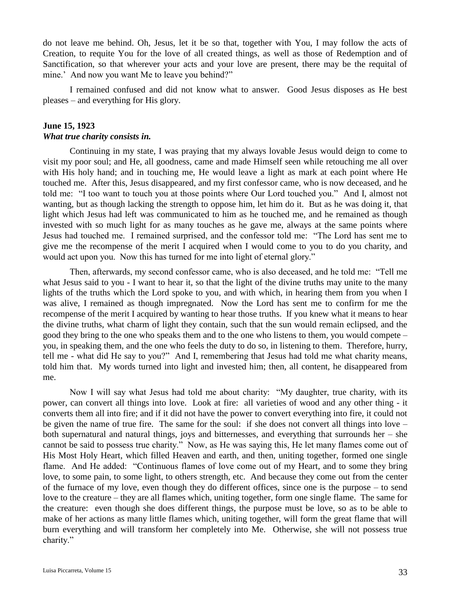do not leave me behind. Oh, Jesus, let it be so that, together with You, I may follow the acts of Creation, to requite You for the love of all created things, as well as those of Redemption and of Sanctification, so that wherever your acts and your love are present, there may be the requital of mine.' And now you want Me to leave you behind?"

I remained confused and did not know what to answer. Good Jesus disposes as He best pleases – and everything for His glory.

## **June 15, 1923** *What true charity consists in.*

Continuing in my state, I was praying that my always lovable Jesus would deign to come to visit my poor soul; and He, all goodness, came and made Himself seen while retouching me all over with His holy hand; and in touching me, He would leave a light as mark at each point where He touched me. After this, Jesus disappeared, and my first confessor came, who is now deceased, and he told me: "I too want to touch you at those points where Our Lord touched you." And I, almost not wanting, but as though lacking the strength to oppose him, let him do it. But as he was doing it, that light which Jesus had left was communicated to him as he touched me, and he remained as though invested with so much light for as many touches as he gave me, always at the same points where Jesus had touched me. I remained surprised, and the confessor told me: "The Lord has sent me to give me the recompense of the merit I acquired when I would come to you to do you charity, and would act upon you. Now this has turned for me into light of eternal glory."

Then, afterwards, my second confessor came, who is also deceased, and he told me: "Tell me what Jesus said to you - I want to hear it, so that the light of the divine truths may unite to the many lights of the truths which the Lord spoke to you, and with which, in hearing them from you when I was alive, I remained as though impregnated. Now the Lord has sent me to confirm for me the recompense of the merit I acquired by wanting to hear those truths. If you knew what it means to hear the divine truths, what charm of light they contain, such that the sun would remain eclipsed, and the good they bring to the one who speaks them and to the one who listens to them, you would compete – you, in speaking them, and the one who feels the duty to do so, in listening to them. Therefore, hurry, tell me - what did He say to you?" And I, remembering that Jesus had told me what charity means, told him that. My words turned into light and invested him; then, all content, he disappeared from me.

Now I will say what Jesus had told me about charity: "My daughter, true charity, with its power, can convert all things into love. Look at fire: all varieties of wood and any other thing - it converts them all into fire; and if it did not have the power to convert everything into fire, it could not be given the name of true fire. The same for the soul: if she does not convert all things into love – both supernatural and natural things, joys and bitternesses, and everything that surrounds her – she cannot be said to possess true charity." Now, as He was saying this, He let many flames come out of His Most Holy Heart, which filled Heaven and earth, and then, uniting together, formed one single flame. And He added: "Continuous flames of love come out of my Heart, and to some they bring love, to some pain, to some light, to others strength, etc. And because they come out from the center of the furnace of my love, even though they do different offices, since one is the purpose – to send love to the creature – they are all flames which, uniting together, form one single flame. The same for the creature: even though she does different things, the purpose must be love, so as to be able to make of her actions as many little flames which, uniting together, will form the great flame that will burn everything and will transform her completely into Me. Otherwise, she will not possess true charity."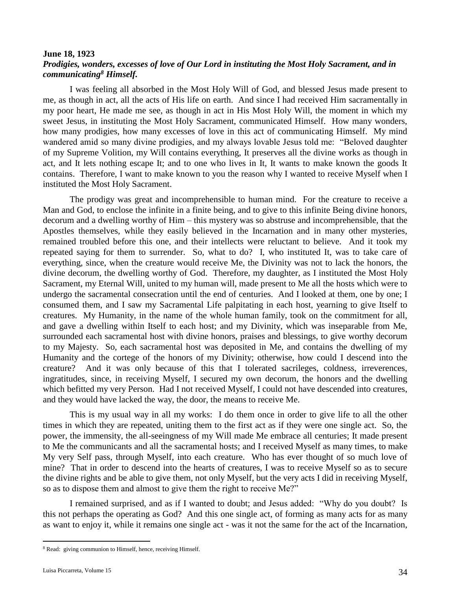## **June 18, 1923** *Prodigies, wonders, excesses of love of Our Lord in instituting the Most Holy Sacrament, and in communicating<sup>8</sup> Himself.*

I was feeling all absorbed in the Most Holy Will of God, and blessed Jesus made present to me, as though in act, all the acts of His life on earth. And since I had received Him sacramentally in my poor heart, He made me see, as though in act in His Most Holy Will, the moment in which my sweet Jesus, in instituting the Most Holy Sacrament, communicated Himself. How many wonders, how many prodigies, how many excesses of love in this act of communicating Himself. My mind wandered amid so many divine prodigies, and my always lovable Jesus told me: "Beloved daughter of my Supreme Volition, my Will contains everything, It preserves all the divine works as though in act, and It lets nothing escape It; and to one who lives in It, It wants to make known the goods It contains. Therefore, I want to make known to you the reason why I wanted to receive Myself when I instituted the Most Holy Sacrament.

The prodigy was great and incomprehensible to human mind. For the creature to receive a Man and God, to enclose the infinite in a finite being, and to give to this infinite Being divine honors, decorum and a dwelling worthy of Him – this mystery was so abstruse and incomprehensible, that the Apostles themselves, while they easily believed in the Incarnation and in many other mysteries, remained troubled before this one, and their intellects were reluctant to believe. And it took my repeated saying for them to surrender. So, what to do? I, who instituted It, was to take care of everything, since, when the creature would receive Me, the Divinity was not to lack the honors, the divine decorum, the dwelling worthy of God. Therefore, my daughter, as I instituted the Most Holy Sacrament, my Eternal Will, united to my human will, made present to Me all the hosts which were to undergo the sacramental consecration until the end of centuries. And I looked at them, one by one; I consumed them, and I saw my Sacramental Life palpitating in each host, yearning to give Itself to creatures. My Humanity, in the name of the whole human family, took on the commitment for all, and gave a dwelling within Itself to each host; and my Divinity, which was inseparable from Me, surrounded each sacramental host with divine honors, praises and blessings, to give worthy decorum to my Majesty. So, each sacramental host was deposited in Me, and contains the dwelling of my Humanity and the cortege of the honors of my Divinity; otherwise, how could I descend into the creature? And it was only because of this that I tolerated sacrileges, coldness, irreverences, ingratitudes, since, in receiving Myself, I secured my own decorum, the honors and the dwelling which befitted my very Person. Had I not received Myself, I could not have descended into creatures, and they would have lacked the way, the door, the means to receive Me.

This is my usual way in all my works: I do them once in order to give life to all the other times in which they are repeated, uniting them to the first act as if they were one single act. So, the power, the immensity, the all-seeingness of my Will made Me embrace all centuries; It made present to Me the communicants and all the sacramental hosts; and I received Myself as many times, to make My very Self pass, through Myself, into each creature. Who has ever thought of so much love of mine? That in order to descend into the hearts of creatures, I was to receive Myself so as to secure the divine rights and be able to give them, not only Myself, but the very acts I did in receiving Myself, so as to dispose them and almost to give them the right to receive Me?"

I remained surprised, and as if I wanted to doubt; and Jesus added: "Why do you doubt? Is this not perhaps the operating as God? And this one single act, of forming as many acts for as many as want to enjoy it, while it remains one single act - was it not the same for the act of the Incarnation,

 $\overline{a}$ 

<sup>8</sup> Read: giving communion to Himself, hence, receiving Himself.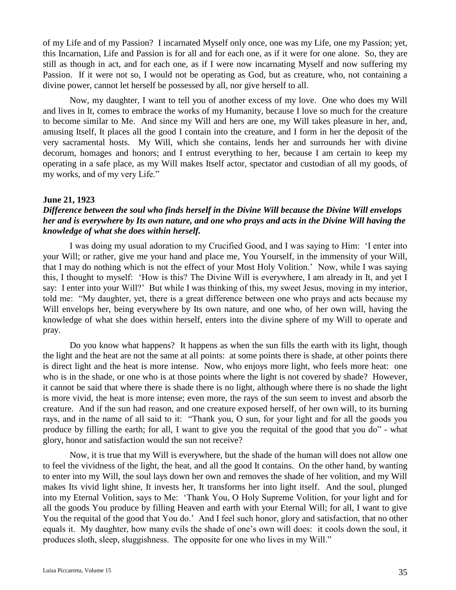of my Life and of my Passion? I incarnated Myself only once, one was my Life, one my Passion; yet, this Incarnation, Life and Passion is for all and for each one, as if it were for one alone. So, they are still as though in act, and for each one, as if I were now incarnating Myself and now suffering my Passion. If it were not so, I would not be operating as God, but as creature, who, not containing a divine power, cannot let herself be possessed by all, nor give herself to all.

Now, my daughter, I want to tell you of another excess of my love. One who does my Will and lives in It, comes to embrace the works of my Humanity, because I love so much for the creature to become similar to Me. And since my Will and hers are one, my Will takes pleasure in her, and, amusing Itself, It places all the good I contain into the creature, and I form in her the deposit of the very sacramental hosts. My Will, which she contains, lends her and surrounds her with divine decorum, homages and honors; and I entrust everything to her, because I am certain to keep my operating in a safe place, as my Will makes Itself actor, spectator and custodian of all my goods, of my works, and of my very Life."

### **June 21, 1923**

## *Difference between the soul who finds herself in the Divine Will because the Divine Will envelops her and is everywhere by Its own nature, and one who prays and acts in the Divine Will having the knowledge of what she does within herself.*

I was doing my usual adoration to my Crucified Good, and I was saying to Him: 'I enter into your Will; or rather, give me your hand and place me, You Yourself, in the immensity of your Will, that I may do nothing which is not the effect of your Most Holy Volition.' Now, while I was saying this, I thought to myself: 'How is this? The Divine Will is everywhere, I am already in It, and yet I say: I enter into your Will?' But while I was thinking of this, my sweet Jesus, moving in my interior, told me: "My daughter, yet, there is a great difference between one who prays and acts because my Will envelops her, being everywhere by Its own nature, and one who, of her own will, having the knowledge of what she does within herself, enters into the divine sphere of my Will to operate and pray.

Do you know what happens? It happens as when the sun fills the earth with its light, though the light and the heat are not the same at all points: at some points there is shade, at other points there is direct light and the heat is more intense. Now, who enjoys more light, who feels more heat: one who is in the shade, or one who is at those points where the light is not covered by shade? However, it cannot be said that where there is shade there is no light, although where there is no shade the light is more vivid, the heat is more intense; even more, the rays of the sun seem to invest and absorb the creature. And if the sun had reason, and one creature exposed herself, of her own will, to its burning rays, and in the name of all said to it: "Thank you, O sun, for your light and for all the goods you produce by filling the earth; for all, I want to give you the requital of the good that you do" - what glory, honor and satisfaction would the sun not receive?

Now, it is true that my Will is everywhere, but the shade of the human will does not allow one to feel the vividness of the light, the heat, and all the good It contains. On the other hand, by wanting to enter into my Will, the soul lays down her own and removes the shade of her volition, and my Will makes Its vivid light shine, It invests her, It transforms her into light itself. And the soul, plunged into my Eternal Volition, says to Me: 'Thank You, O Holy Supreme Volition, for your light and for all the goods You produce by filling Heaven and earth with your Eternal Will; for all, I want to give You the requital of the good that You do.' And I feel such honor, glory and satisfaction, that no other equals it. My daughter, how many evils the shade of one's own will does: it cools down the soul, it produces sloth, sleep, sluggishness. The opposite for one who lives in my Will."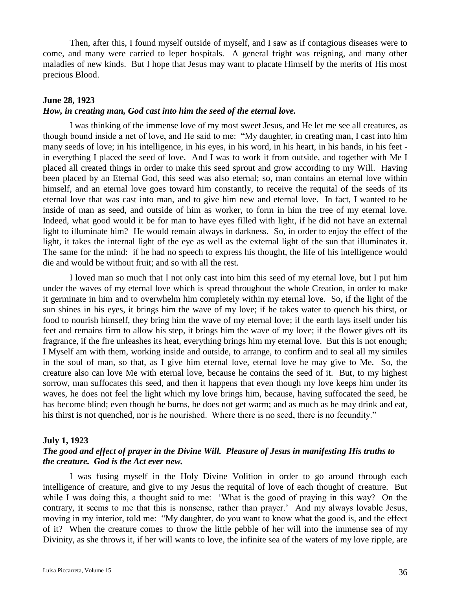Then, after this, I found myself outside of myself, and I saw as if contagious diseases were to come, and many were carried to leper hospitals. A general fright was reigning, and many other maladies of new kinds. But I hope that Jesus may want to placate Himself by the merits of His most precious Blood.

### **June 28, 1923**

## *How, in creating man, God cast into him the seed of the eternal love.*

I was thinking of the immense love of my most sweet Jesus, and He let me see all creatures, as though bound inside a net of love, and He said to me: "My daughter, in creating man, I cast into him many seeds of love; in his intelligence, in his eyes, in his word, in his heart, in his hands, in his feet in everything I placed the seed of love. And I was to work it from outside, and together with Me I placed all created things in order to make this seed sprout and grow according to my Will. Having been placed by an Eternal God, this seed was also eternal; so, man contains an eternal love within himself, and an eternal love goes toward him constantly, to receive the requital of the seeds of its eternal love that was cast into man, and to give him new and eternal love. In fact, I wanted to be inside of man as seed, and outside of him as worker, to form in him the tree of my eternal love. Indeed, what good would it be for man to have eyes filled with light, if he did not have an external light to illuminate him? He would remain always in darkness. So, in order to enjoy the effect of the light, it takes the internal light of the eye as well as the external light of the sun that illuminates it. The same for the mind: if he had no speech to express his thought, the life of his intelligence would die and would be without fruit; and so with all the rest.

I loved man so much that I not only cast into him this seed of my eternal love, but I put him under the waves of my eternal love which is spread throughout the whole Creation, in order to make it germinate in him and to overwhelm him completely within my eternal love. So, if the light of the sun shines in his eyes, it brings him the wave of my love; if he takes water to quench his thirst, or food to nourish himself, they bring him the wave of my eternal love; if the earth lays itself under his feet and remains firm to allow his step, it brings him the wave of my love; if the flower gives off its fragrance, if the fire unleashes its heat, everything brings him my eternal love. But this is not enough; I Myself am with them, working inside and outside, to arrange, to confirm and to seal all my similes in the soul of man, so that, as I give him eternal love, eternal love he may give to Me. So, the creature also can love Me with eternal love, because he contains the seed of it. But, to my highest sorrow, man suffocates this seed, and then it happens that even though my love keeps him under its waves, he does not feel the light which my love brings him, because, having suffocated the seed, he has become blind; even though he burns, he does not get warm; and as much as he may drink and eat, his thirst is not quenched, nor is he nourished. Where there is no seed, there is no fecundity."

### **July 1, 1923**

## *The good and effect of prayer in the Divine Will. Pleasure of Jesus in manifesting His truths to the creature. God is the Act ever new.*

I was fusing myself in the Holy Divine Volition in order to go around through each intelligence of creature, and give to my Jesus the requital of love of each thought of creature. But while I was doing this, a thought said to me: 'What is the good of praying in this way? On the contrary, it seems to me that this is nonsense, rather than prayer.' And my always lovable Jesus, moving in my interior, told me: "My daughter, do you want to know what the good is, and the effect of it? When the creature comes to throw the little pebble of her will into the immense sea of my Divinity, as she throws it, if her will wants to love, the infinite sea of the waters of my love ripple, are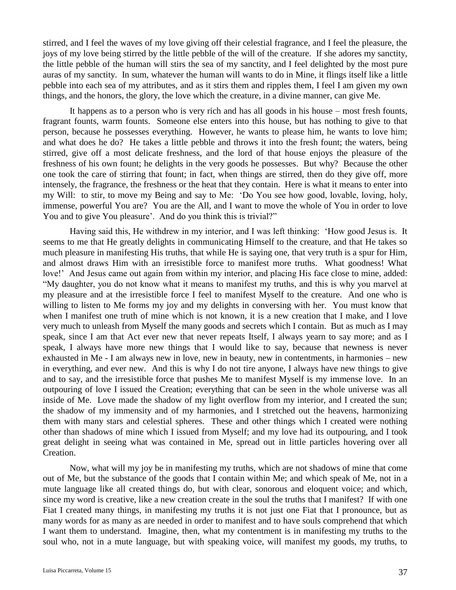stirred, and I feel the waves of my love giving off their celestial fragrance, and I feel the pleasure, the joys of my love being stirred by the little pebble of the will of the creature. If she adores my sanctity, the little pebble of the human will stirs the sea of my sanctity, and I feel delighted by the most pure auras of my sanctity. In sum, whatever the human will wants to do in Mine, it flings itself like a little pebble into each sea of my attributes, and as it stirs them and ripples them, I feel I am given my own things, and the honors, the glory, the love which the creature, in a divine manner, can give Me.

It happens as to a person who is very rich and has all goods in his house – most fresh founts, fragrant founts, warm founts. Someone else enters into this house, but has nothing to give to that person, because he possesses everything. However, he wants to please him, he wants to love him; and what does he do? He takes a little pebble and throws it into the fresh fount; the waters, being stirred, give off a most delicate freshness, and the lord of that house enjoys the pleasure of the freshness of his own fount; he delights in the very goods he possesses. But why? Because the other one took the care of stirring that fount; in fact, when things are stirred, then do they give off, more intensely, the fragrance, the freshness or the heat that they contain. Here is what it means to enter into my Will: to stir, to move my Being and say to Me: 'Do You see how good, lovable, loving, holy, immense, powerful You are? You are the All, and I want to move the whole of You in order to love You and to give You pleasure'. And do you think this is trivial?"

Having said this, He withdrew in my interior, and I was left thinking: 'How good Jesus is. It seems to me that He greatly delights in communicating Himself to the creature, and that He takes so much pleasure in manifesting His truths, that while He is saying one, that very truth is a spur for Him, and almost draws Him with an irresistible force to manifest more truths. What goodness! What love!' And Jesus came out again from within my interior, and placing His face close to mine, added: "My daughter, you do not know what it means to manifest my truths, and this is why you marvel at my pleasure and at the irresistible force I feel to manifest Myself to the creature. And one who is willing to listen to Me forms my joy and my delights in conversing with her. You must know that when I manifest one truth of mine which is not known, it is a new creation that I make, and I love very much to unleash from Myself the many goods and secrets which I contain. But as much as I may speak, since I am that Act ever new that never repeats Itself, I always yearn to say more; and as I speak, I always have more new things that I would like to say, because that newness is never exhausted in Me - I am always new in love, new in beauty, new in contentments, in harmonies – new in everything, and ever new. And this is why I do not tire anyone, I always have new things to give and to say, and the irresistible force that pushes Me to manifest Myself is my immense love. In an outpouring of love I issued the Creation; everything that can be seen in the whole universe was all inside of Me. Love made the shadow of my light overflow from my interior, and I created the sun; the shadow of my immensity and of my harmonies, and I stretched out the heavens, harmonizing them with many stars and celestial spheres. These and other things which I created were nothing other than shadows of mine which I issued from Myself; and my love had its outpouring, and I took great delight in seeing what was contained in Me, spread out in little particles hovering over all Creation.

Now, what will my joy be in manifesting my truths, which are not shadows of mine that come out of Me, but the substance of the goods that I contain within Me; and which speak of Me, not in a mute language like all created things do, but with clear, sonorous and eloquent voice; and which, since my word is creative, like a new creation create in the soul the truths that I manifest? If with one Fiat I created many things, in manifesting my truths it is not just one Fiat that I pronounce, but as many words for as many as are needed in order to manifest and to have souls comprehend that which I want them to understand. Imagine, then, what my contentment is in manifesting my truths to the soul who, not in a mute language, but with speaking voice, will manifest my goods, my truths, to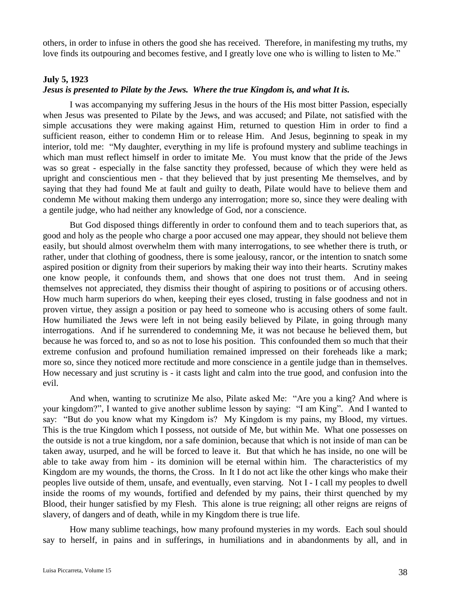others, in order to infuse in others the good she has received. Therefore, in manifesting my truths, my love finds its outpouring and becomes festive, and I greatly love one who is willing to listen to Me."

### **July 5, 1923**

## *Jesus is presented to Pilate by the Jews. Where the true Kingdom is, and what It is.*

I was accompanying my suffering Jesus in the hours of the His most bitter Passion, especially when Jesus was presented to Pilate by the Jews, and was accused; and Pilate, not satisfied with the simple accusations they were making against Him, returned to question Him in order to find a sufficient reason, either to condemn Him or to release Him. And Jesus, beginning to speak in my interior, told me: "My daughter, everything in my life is profound mystery and sublime teachings in which man must reflect himself in order to imitate Me. You must know that the pride of the Jews was so great - especially in the false sanctity they professed, because of which they were held as upright and conscientious men - that they believed that by just presenting Me themselves, and by saying that they had found Me at fault and guilty to death, Pilate would have to believe them and condemn Me without making them undergo any interrogation; more so, since they were dealing with a gentile judge, who had neither any knowledge of God, nor a conscience.

But God disposed things differently in order to confound them and to teach superiors that, as good and holy as the people who charge a poor accused one may appear, they should not believe them easily, but should almost overwhelm them with many interrogations, to see whether there is truth, or rather, under that clothing of goodness, there is some jealousy, rancor, or the intention to snatch some aspired position or dignity from their superiors by making their way into their hearts. Scrutiny makes one know people, it confounds them, and shows that one does not trust them. And in seeing themselves not appreciated, they dismiss their thought of aspiring to positions or of accusing others. How much harm superiors do when, keeping their eyes closed, trusting in false goodness and not in proven virtue, they assign a position or pay heed to someone who is accusing others of some fault. How humiliated the Jews were left in not being easily believed by Pilate, in going through many interrogations. And if he surrendered to condemning Me, it was not because he believed them, but because he was forced to, and so as not to lose his position. This confounded them so much that their extreme confusion and profound humiliation remained impressed on their foreheads like a mark; more so, since they noticed more rectitude and more conscience in a gentile judge than in themselves. How necessary and just scrutiny is - it casts light and calm into the true good, and confusion into the evil.

And when, wanting to scrutinize Me also, Pilate asked Me: "Are you a king? And where is your kingdom?", I wanted to give another sublime lesson by saying: "I am King". And I wanted to say: "But do you know what my Kingdom is? My Kingdom is my pains, my Blood, my virtues. This is the true Kingdom which I possess, not outside of Me, but within Me. What one possesses on the outside is not a true kingdom, nor a safe dominion, because that which is not inside of man can be taken away, usurped, and he will be forced to leave it. But that which he has inside, no one will be able to take away from him - its dominion will be eternal within him. The characteristics of my Kingdom are my wounds, the thorns, the Cross. In It I do not act like the other kings who make their peoples live outside of them, unsafe, and eventually, even starving. Not I - I call my peoples to dwell inside the rooms of my wounds, fortified and defended by my pains, their thirst quenched by my Blood, their hunger satisfied by my Flesh. This alone is true reigning; all other reigns are reigns of slavery, of dangers and of death, while in my Kingdom there is true life.

How many sublime teachings, how many profound mysteries in my words. Each soul should say to herself, in pains and in sufferings, in humiliations and in abandonments by all, and in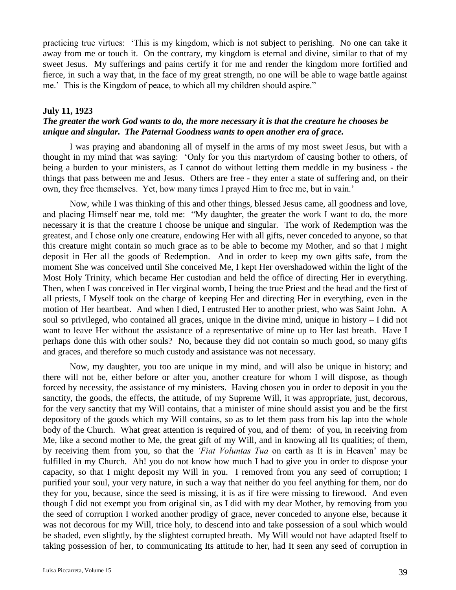practicing true virtues: 'This is my kingdom, which is not subject to perishing. No one can take it away from me or touch it. On the contrary, my kingdom is eternal and divine, similar to that of my sweet Jesus. My sufferings and pains certify it for me and render the kingdom more fortified and fierce, in such a way that, in the face of my great strength, no one will be able to wage battle against me.' This is the Kingdom of peace, to which all my children should aspire."

### **July 11, 1923**

## *The greater the work God wants to do, the more necessary it is that the creature he chooses be unique and singular. The Paternal Goodness wants to open another era of grace.*

I was praying and abandoning all of myself in the arms of my most sweet Jesus, but with a thought in my mind that was saying: 'Only for you this martyrdom of causing bother to others, of being a burden to your ministers, as I cannot do without letting them meddle in my business - the things that pass between me and Jesus. Others are free - they enter a state of suffering and, on their own, they free themselves. Yet, how many times I prayed Him to free me, but in vain.'

Now, while I was thinking of this and other things, blessed Jesus came, all goodness and love, and placing Himself near me, told me: "My daughter, the greater the work I want to do, the more necessary it is that the creature I choose be unique and singular. The work of Redemption was the greatest, and I chose only one creature, endowing Her with all gifts, never conceded to anyone, so that this creature might contain so much grace as to be able to become my Mother, and so that I might deposit in Her all the goods of Redemption. And in order to keep my own gifts safe, from the moment She was conceived until She conceived Me, I kept Her overshadowed within the light of the Most Holy Trinity, which became Her custodian and held the office of directing Her in everything. Then, when I was conceived in Her virginal womb, I being the true Priest and the head and the first of all priests, I Myself took on the charge of keeping Her and directing Her in everything, even in the motion of Her heartbeat. And when I died, I entrusted Her to another priest, who was Saint John. A soul so privileged, who contained all graces, unique in the divine mind, unique in history – I did not want to leave Her without the assistance of a representative of mine up to Her last breath. Have I perhaps done this with other souls? No, because they did not contain so much good, so many gifts and graces, and therefore so much custody and assistance was not necessary.

Now, my daughter, you too are unique in my mind, and will also be unique in history; and there will not be, either before or after you, another creature for whom I will dispose, as though forced by necessity, the assistance of my ministers. Having chosen you in order to deposit in you the sanctity, the goods, the effects, the attitude, of my Supreme Will, it was appropriate, just, decorous, for the very sanctity that my Will contains, that a minister of mine should assist you and be the first depository of the goods which my Will contains, so as to let them pass from his lap into the whole body of the Church. What great attention is required of you, and of them: of you, in receiving from Me, like a second mother to Me, the great gift of my Will, and in knowing all Its qualities; of them, by receiving them from you, so that the *'Fiat Voluntas Tua* on earth as It is in Heaven' may be fulfilled in my Church. Ah! you do not know how much I had to give you in order to dispose your capacity, so that I might deposit my Will in you. I removed from you any seed of corruption; I purified your soul, your very nature, in such a way that neither do you feel anything for them, nor do they for you, because, since the seed is missing, it is as if fire were missing to firewood. And even though I did not exempt you from original sin, as I did with my dear Mother, by removing from you the seed of corruption I worked another prodigy of grace, never conceded to anyone else, because it was not decorous for my Will, trice holy, to descend into and take possession of a soul which would be shaded, even slightly, by the slightest corrupted breath. My Will would not have adapted Itself to taking possession of her, to communicating Its attitude to her, had It seen any seed of corruption in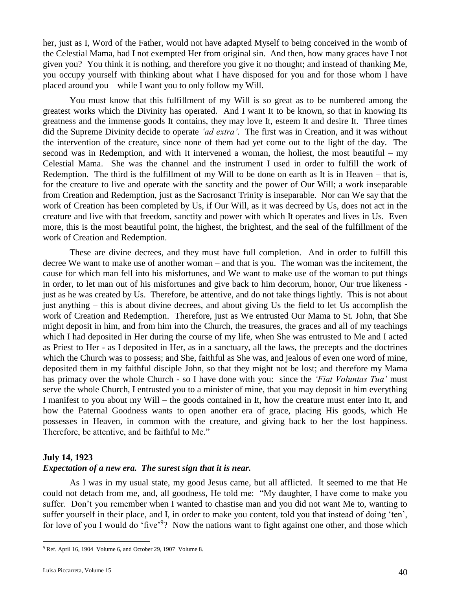her, just as I, Word of the Father, would not have adapted Myself to being conceived in the womb of the Celestial Mama, had I not exempted Her from original sin. And then, how many graces have I not given you? You think it is nothing, and therefore you give it no thought; and instead of thanking Me, you occupy yourself with thinking about what I have disposed for you and for those whom I have placed around you – while I want you to only follow my Will.

You must know that this fulfillment of my Will is so great as to be numbered among the greatest works which the Divinity has operated. And I want It to be known, so that in knowing Its greatness and the immense goods It contains, they may love It, esteem It and desire It. Three times did the Supreme Divinity decide to operate *'ad extra'*. The first was in Creation, and it was without the intervention of the creature, since none of them had yet come out to the light of the day. The second was in Redemption, and with It intervened a woman, the holiest, the most beautiful – my Celestial Mama. She was the channel and the instrument I used in order to fulfill the work of Redemption. The third is the fulfillment of my Will to be done on earth as It is in Heaven – that is, for the creature to live and operate with the sanctity and the power of Our Will; a work inseparable from Creation and Redemption, just as the Sacrosanct Trinity is inseparable. Nor can We say that the work of Creation has been completed by Us, if Our Will, as it was decreed by Us, does not act in the creature and live with that freedom, sanctity and power with which It operates and lives in Us. Even more, this is the most beautiful point, the highest, the brightest, and the seal of the fulfillment of the work of Creation and Redemption.

These are divine decrees, and they must have full completion. And in order to fulfill this decree We want to make use of another woman – and that is you. The woman was the incitement, the cause for which man fell into his misfortunes, and We want to make use of the woman to put things in order, to let man out of his misfortunes and give back to him decorum, honor, Our true likeness just as he was created by Us. Therefore, be attentive, and do not take things lightly. This is not about just anything – this is about divine decrees, and about giving Us the field to let Us accomplish the work of Creation and Redemption. Therefore, just as We entrusted Our Mama to St. John, that She might deposit in him, and from him into the Church, the treasures, the graces and all of my teachings which I had deposited in Her during the course of my life, when She was entrusted to Me and I acted as Priest to Her - as I deposited in Her, as in a sanctuary, all the laws, the precepts and the doctrines which the Church was to possess; and She, faithful as She was, and jealous of even one word of mine, deposited them in my faithful disciple John, so that they might not be lost; and therefore my Mama has primacy over the whole Church - so I have done with you: since the *'Fiat Voluntas Tua'* must serve the whole Church, I entrusted you to a minister of mine, that you may deposit in him everything I manifest to you about my Will – the goods contained in It, how the creature must enter into It, and how the Paternal Goodness wants to open another era of grace, placing His goods, which He possesses in Heaven, in common with the creature, and giving back to her the lost happiness. Therefore, be attentive, and be faithful to Me."

### **July 14, 1923**

### *Expectation of a new era. The surest sign that it is near.*

As I was in my usual state, my good Jesus came, but all afflicted. It seemed to me that He could not detach from me, and, all goodness, He told me: "My daughter, I have come to make you suffer. Don't you remember when I wanted to chastise man and you did not want Me to, wanting to suffer yourself in their place, and I, in order to make you content, told you that instead of doing 'ten', for love of you I would do 'five'<sup>9</sup>? Now the nations want to fight against one other, and those which

 $\overline{a}$ 

<sup>9</sup> Ref. April 16, 1904 Volume 6, and October 29, 1907 Volume 8.